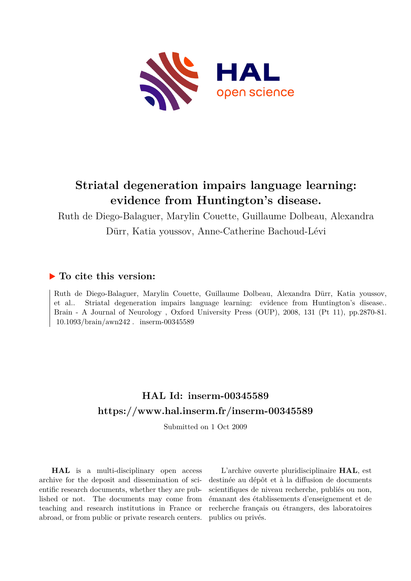

# **Striatal degeneration impairs language learning: evidence from Huntington's disease.**

Ruth de Diego-Balaguer, Marylin Couette, Guillaume Dolbeau, Alexandra Dürr, Katia youssov, Anne-Catherine Bachoud-Lévi

## **To cite this version:**

Ruth de Diego-Balaguer, Marylin Couette, Guillaume Dolbeau, Alexandra Dürr, Katia youssov, et al.. Striatal degeneration impairs language learning: evidence from Huntington's disease.. Brain - A Journal of Neurology , Oxford University Press (OUP), 2008, 131 (Pt 11), pp.2870-81.  $10.1093/brain/awn242$ . inserm-00345589

## **HAL Id: inserm-00345589 <https://www.hal.inserm.fr/inserm-00345589>**

Submitted on 1 Oct 2009

**HAL** is a multi-disciplinary open access archive for the deposit and dissemination of scientific research documents, whether they are published or not. The documents may come from teaching and research institutions in France or abroad, or from public or private research centers.

L'archive ouverte pluridisciplinaire **HAL**, est destinée au dépôt et à la diffusion de documents scientifiques de niveau recherche, publiés ou non, émanant des établissements d'enseignement et de recherche français ou étrangers, des laboratoires publics ou privés.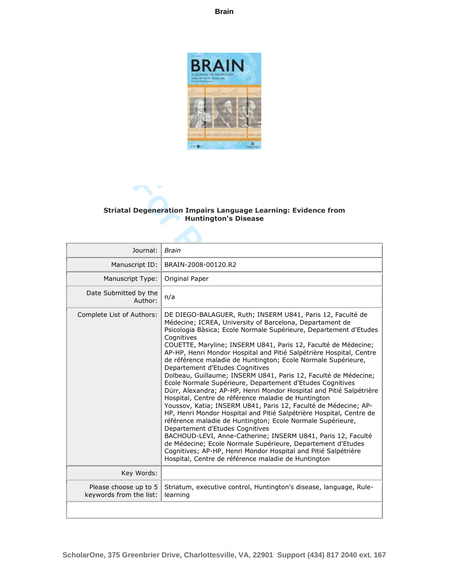

#### **Striatal Degeneration Impairs Language Learning: Evidence from Huntington's Disease**

| <b>Striatal Degeneration Impairs Language Learning: Evidence from</b><br><b>Huntington's Disease</b>                                                                                                                                                                                                                                                                                                                                                                                                                                                                                                                                                                                                                                                                                                                                                                                                                                                                                                                                                                                                                                                                                                                    |                                                  |
|-------------------------------------------------------------------------------------------------------------------------------------------------------------------------------------------------------------------------------------------------------------------------------------------------------------------------------------------------------------------------------------------------------------------------------------------------------------------------------------------------------------------------------------------------------------------------------------------------------------------------------------------------------------------------------------------------------------------------------------------------------------------------------------------------------------------------------------------------------------------------------------------------------------------------------------------------------------------------------------------------------------------------------------------------------------------------------------------------------------------------------------------------------------------------------------------------------------------------|--------------------------------------------------|
| Journal:<br><b>Brain</b>                                                                                                                                                                                                                                                                                                                                                                                                                                                                                                                                                                                                                                                                                                                                                                                                                                                                                                                                                                                                                                                                                                                                                                                                |                                                  |
| Manuscript ID:<br>BRAIN-2008-00120.R2                                                                                                                                                                                                                                                                                                                                                                                                                                                                                                                                                                                                                                                                                                                                                                                                                                                                                                                                                                                                                                                                                                                                                                                   |                                                  |
| Original Paper                                                                                                                                                                                                                                                                                                                                                                                                                                                                                                                                                                                                                                                                                                                                                                                                                                                                                                                                                                                                                                                                                                                                                                                                          | Manuscript Type:                                 |
| n/a<br>Author:                                                                                                                                                                                                                                                                                                                                                                                                                                                                                                                                                                                                                                                                                                                                                                                                                                                                                                                                                                                                                                                                                                                                                                                                          | Date Submitted by the                            |
| DE DIEGO-BALAGUER, Ruth; INSERM U841, Paris 12, Faculté de<br>Médecine; ICREA, University of Barcelona, Departament de<br>Psicologia Bàsica; Ecole Normale Supérieure, Departement d'Etudes<br>Cognitives<br>COUETTE, Maryline; INSERM U841, Paris 12, Faculté de Médecine;<br>AP-HP, Henri Mondor Hospital and Pitié Salpétrière Hospital, Centre<br>de référence maladie de Huntington; Ecole Normale Supérieure,<br>Departement d'Etudes Cognitives<br>Dolbeau, Guillaume; INSERM U841, Paris 12, Faculté de Médecine;<br>Ecole Normale Supérieure, Departement d'Etudes Cognitives<br>Dürr, Alexandra; AP-HP, Henri Mondor Hospital and Pitié Salpétrière<br>Hospital, Centre de référence maladie de Huntington<br>Youssov, Katia; INSERM U841, Paris 12, Faculté de Médecine; AP-<br>HP, Henri Mondor Hospital and Pitié Salpétrière Hospital, Centre de<br>référence maladie de Huntington; Ecole Normale Supérieure,<br>Departement d'Etudes Cognitives<br>BACHOUD-LEVI, Anne-Catherine; INSERM U841, Paris 12, Faculté<br>de Médecine; Ecole Normale Supérieure, Departement d'Etudes<br>Cognitives; AP-HP, Henri Mondor Hospital and Pitié Salpétrière<br>Hospital, Centre de référence maladie de Huntington | Complete List of Authors:                        |
| Key Words:                                                                                                                                                                                                                                                                                                                                                                                                                                                                                                                                                                                                                                                                                                                                                                                                                                                                                                                                                                                                                                                                                                                                                                                                              |                                                  |
| Striatum, executive control, Huntington's disease, language, Rule-<br>learning                                                                                                                                                                                                                                                                                                                                                                                                                                                                                                                                                                                                                                                                                                                                                                                                                                                                                                                                                                                                                                                                                                                                          | Please choose up to 5<br>keywords from the list: |
|                                                                                                                                                                                                                                                                                                                                                                                                                                                                                                                                                                                                                                                                                                                                                                                                                                                                                                                                                                                                                                                                                                                                                                                                                         |                                                  |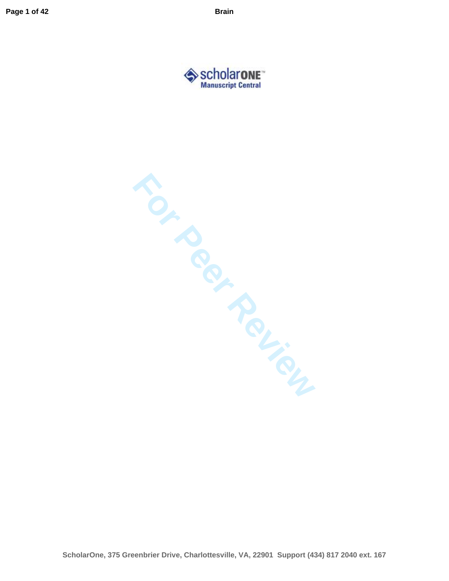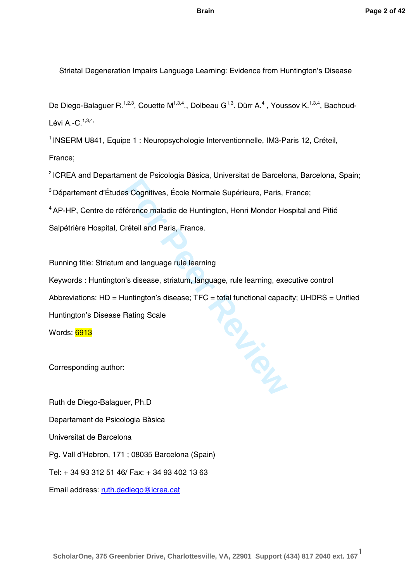Striatal Degeneration Impairs Language Learning: Evidence from Huntington's Disease

De Diego-Balaguer R.<sup>1,2,3</sup>, Couette M<sup>1,3,4</sup>., Dolbeau G<sup>1,3</sup>. Dürr A.<sup>4</sup>, Youssov K.<sup>1,3,4</sup>, Bachoud-Lévi A.-C.<sup>1,3,4,</sup>

<sup>1</sup> INSERM U841, Equipe 1 : Neuropsychologie Interventionnelle, IM3-Paris 12, Créteil, France;

<sup>2</sup> ICREA and Departament de Psicologia Bàsica, Universitat de Barcelona, Barcelona, Spain; 3 Département d'Études Cognitives, École Normale Supérieure, Paris, France; <sup>4</sup> AP-HP, Centre de référence maladie de Huntington, Henri Mondor Hospital and Pitié Salpétrière Hospital, Créteil and Paris, France.

**PL.**<br>Rev Running title: Striatum and language rule learning Keywords : Huntington's disease, striatum, language, rule learning, executive control Abbreviations:  $HD = Huntington's disease$ ;  $TFC = total functional capacity$ ;  $UHDRS = Unified$ Huntington's Disease Rating Scale Words: 6913

Corresponding author:

Ruth de Diego -Balaguer, Ph.D Departament de Psicologia Bàsica Universitat de Barcelona Pg. Vall d'Hebron, 171 ; 08035 Barcelona (Spain) Tel: + 34 93 312 51 46/ Fax: + 34 93 402 13 63 Email address: [ruth.dediego@icrea.cat](mailto:ruth.dediego@icrea.cat)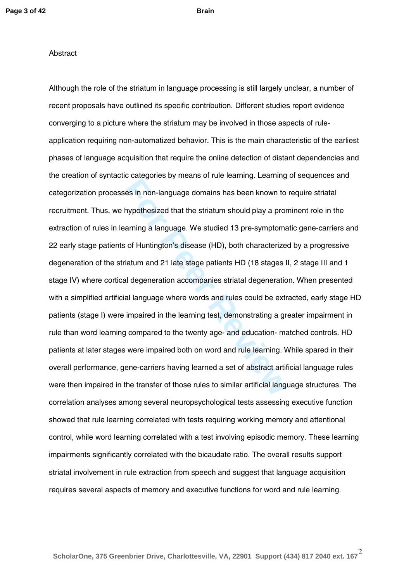#### **Abstract**

For Bategonics By means Britan Bathmigrides in non-language domains has been known to hypothesized that the striatum should play a prorearning a language. We studied 13 pre-symptomas of Huntington's disease (HD), both char Although the role of the striatum in language processing is still largely unclear, a number of recent proposals have outlined its specific contribution. Different studies report evidence converging to a picture where the striatum may be involved in those aspects of rule application requiring non-automatized behavior. This is the main characteristic of the earliest phases of language acquisition that require the online detection of distant dependencies and the creation of syntactic categories by means of rule learning. Learning of sequences and categorization processes in non -language domains has been known to require striatal recruitment. Thus, we hypothesized that the striatum should play a prominent role in the extraction of rules in learning a language. We studied 13 pre-symptomatic gene-carriers and 22 early stage patients of Huntington's disease (HD), both characterized by a progressive degeneration of the striatum and 21 late stage patients HD (18 stages II, 2 stage III and 1 stage IV) where cortical degeneration accompanies striatal degeneration. When presented with a simplified artificial language where words and rules could be extracted, early stage HD patients (stage I ) were impaired in the learning test, demonstrating a greater impairment in rule than word learning compared to the twenty age - and education - matched controls. HD patients at later stages were impaired both on word and rule learning. While spared in their overall performance, gene-carriers having learned a set of abstract artificial language rules were then impaired in the transfer of those rules to similar artificial language structures. The correlation analyses among several neuropsychological tests assessing executive function showed that rule learning correlated with tests requiring working memory and attentional control, while word learning correlated with a test involving episodic memory. These learning impairments significantly correlated with the bicaudate ratio. The overall results support striatal involvement in rule extraction from speech and suggest that language acquisition requires several aspects of memory and executive functions for word and rule learning.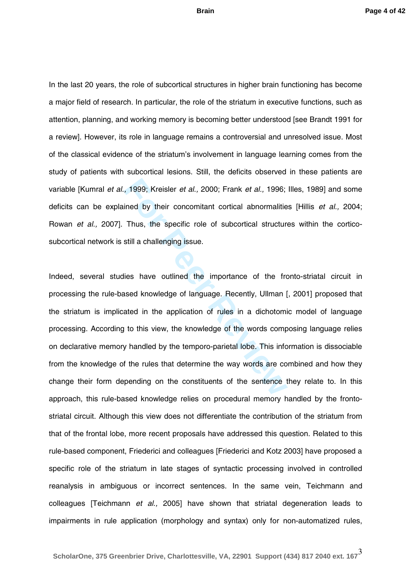In the last 20 years, the role of subcortical structures in higher brain functioning has become a major field of research. In particular, the role of the striatum in executive functions, such as attention, planning, and working memory is becoming better understood [see Brandt 1991 for a review]. However, its role in language remains a controversial and unresolved issue. Most of the classical evidence of the striatum's involvement in language learning comes from the study of patients with subcortical lesions. Still, the deficits observed in these patients are variable [Kumral *et al.,* 1999; Kreisler *et al.,* 2000; Frank *et al.,* 1996; Illes, 1989] and some deficits can be explained by their concomitant cortical abnormalities [Hillis *et al.,* 2004; Rowan et al., 2007]. Thus, the specific role of subcortical structures within the corticosubcortical network is still a challenging issue.

For 1999; Kreisler *et al.*, 2000; Frank *et al.*, 1996;<br>
ined by their concomitant cortical abnormalitie<br>
Thus, the specific role of subcortical structure<br>
still a challenging issue.<br>
ies have outlined the importance of t Indeed, several studies have outlined the importance of the fronto -striatal circuit in processing the rule -based knowledge of language. Recently, Ullman [, 2001] proposed that the striatum is implicated in the application of rules in a dichotomic model of language processing. According to this view, the knowledge of the words composing language relies on declarative memory handled by the temporo -parietal lobe. This information is dissociable from the knowledge of the rules that determine the way words are combined and how they change their form depending on the constituents of the sentence they relate to. In this approach, this rule-based knowledge relies on procedural memory handled by the frontostriatal circuit. Although this view does not differentiate the contribution of the striatum from that of the frontal lobe, more recent proposals have addressed this question. Related to this rule -based component, Friederici and colleagues [Friederici and Kotz 2003] have proposed a specific role of the striatum in late stages of syntactic processing involved in controlled reanalysis in ambiguous or incorrect sentences. In the same vein, Teichmann and colleagues [Teichmann *et al.,* 2005] have shown that striatal degeneration leads to impairments in rule application (morphology and syntax) only for non -automati zed rules,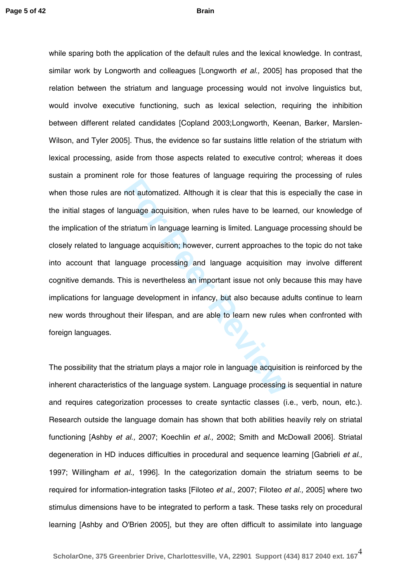For the theoretical of the theoretical original or the team and and any angle acquisition, when rules have to be learntriatum in language learning is limited. Language uage acquisition; however, current approaches to guage while sparing both the application of the default rules and the lexical knowledge. In contrast, similar work by Longworth and colleagues [Longworth *et al.,* 2005] has proposed that the relation between the striatum and language processing would not involve linguistics but, would involve executive functioning, such as lexical selection, requiring the inhibition between different related candidates [Copland 2003;Longworth, Keenan, Barker, Marslen - Wilson, and Tyler 2005]. Thus, the evidence so far sustains little relation of the striatum with lexical processing, aside from those aspects related to executive control; whereas it does sustain a prominent role for those features of language requiring the processing of rules when those rules are not automatized. Although it is clear that this is especially the case in the initial stages of language acquisition, when rules have to be learned, our knowledge of the implication of the striatum in language learning is limited. Language processing should be closely related to language acquisition; however, current approaches to the topic do not take into account that language processing and language acquisition may involve different cognitive demands. This is nevertheless an important issue not only because this may have implications for language development in infancy, but also because adults continue to learn new words throughout their lifespan, and are able to learn new rules when confronted with foreign languages.

The possibility that the striatum plays a major role in language acquisition is reinforced by the inherent characteristics of the language system. Language processing is sequential in nature and requires categorization processes to create syntactic classes (i.e., verb, noun, etc.). Research outside the language domain has shown that both abilities heavily rely on striatal functioning [Ashby *et al.,* 2007; Koechlin *et al.,* 2002; Smith and McDowall 2006]. Striatal degeneration in HD induces difficulties in procedural and sequence learning [Gabrieli *et al.,*  1997; Willingham *et al.,* 1996]. In the categorization domain the striatum seems to be required for information-integration tasks [Filoteo *et al.,* 2007; Filoteo *et al.,* 2005] where two stimulus dimensions have to be integrated to perform a task. These tasks rely on procedural learning [Ashby and O'Brien 2005], but they are often difficult to assimilate into language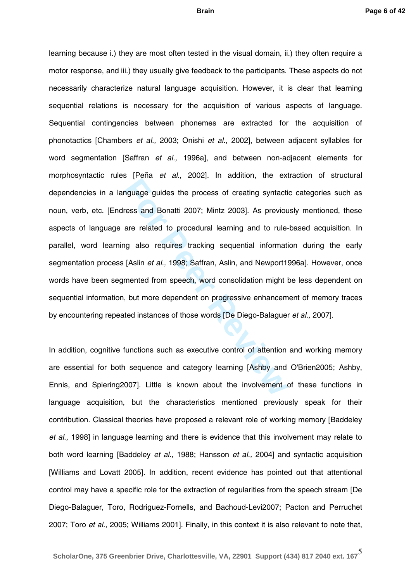For the tends of any 2002<sub>1</sub>. In additic, the order process and Bonatti 2007; Mintz 2003]. As previous are related to procedural learning and to rule-<br>g also requires tracking sequential informat [Aslin *et al.*, 1998; Saf learning because i.) they are most often tested in the visual domain, ii.) they often require a motor response, and iii.) they usually give feedback to the participants. These aspects do not necessarily characterize natural language acquisition. However, it is clear that learning sequential relations is necessary for the acquisition of various aspects of language. Sequential contingencies between phonemes are extracted for the acquisition of phonotactics [Chambers *et al.,* 2003; Onishi *et al.,* 2002], between adjacent syllables for word segmentation [Saffran *et al.,* 1996a], and between non -adjacent elements for morphosyntactic rules [Peña *et al.,* 2002]. In addition, the extraction of structural dependencies in a language guides the process of creating syntactic categories such as noun, verb, etc. [Endress and Bonatti 2007; Mintz 2003]. As previously mentioned, these aspects of language are related to procedural learning and to rule -based acquisition. In parallel, word learning also requires tracking sequential information during the early segmentation process [Aslin *et al.,* 1998; Saffran, Aslin, and Newport1996a]. However, once words have been segmented from speech, word consolidation might be less dependent on sequential information, but more dependent on progressive enhancement of memory traces by encountering repeated instances of those words [De Diego -Balaguer *et al.,* 2007].

In addition, cognitive functions such as executive control of attention and working memory are essential for both sequence and category learning [Ashby and O'Brien2005; Ashby, Ennis, and Spiering2007]. Little is known about the involvement of these functions in language acquisition, but the characteristics mentioned previously speak for their contribution. Classical theories have proposed a relevant role of working memory [Baddeley *et al.,* 1998] in language learning and there is evidence that this involvement may relate to both word learning [Baddeley *et al.,* 1988; Hansson *et al.,* 2004] and syntactic acquisition [Williams and Lovatt 2005]. In addition, recent evidence has pointed out that attentional control may have a specific role for the extraction of regularities from the speech stream [De Diego-Balaguer, Toro, Rodriguez-Fornells, and Bachoud-Levi2007; Pacton and Perruchet 2007; Toro *et al.,* 2005; Williams 2001]. Finally, in this context it is also relevant to note that,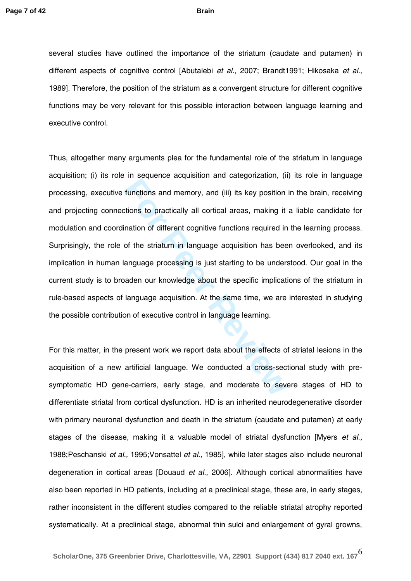several studies have outlined the importance of the striatum (caudate and putamen) in different aspects of cognitive control [Abutalebi *et al.,* 2007; Brandt1991; Hikosaka *et al.,*  1989]. Therefore, the position of the striatum as a convergent structure for different cognitive functions may be very relevant for this possible interaction between language learning and executive control.

In sequence dequalitient and dangementing (in functions and memory, and (iii) its key position<br>tions to practically all cortical areas, making it<br>ination of different cognitive functions required in<br>of the striatum in lang Thus, altogether many arguments plea for the fundamental role of the striatum in language acquisition; (i) its role in sequence acquisition and categorization, (ii) its role in language processing, executive functions and memory, and (iii) its key position in the brain, receiving and projecting connections to practically all cortical areas, making it a liable candidate for modulation and coordination of different cognitive functions required in the learning process. Surprisingly, the role of the striatum in language acquisition has been overlooked, and its implication in human language processing is just starting to be understood. Our goal in th e current study is to broaden our knowledge about the specific implications of the striatum in rule -based aspects of language acquisition. At the same time, we are interested in studying the possible contribution of executive control in language learning.

For this matter, in the present work we report data about the effects of striatal lesions in the acquisition of a new artificial language. We conducted a cross-sectional study with presymptomatic HD gene-carriers, early stage, and moderate to severe stages of HD to differentiate striatal from cortical dysfunction. HD is an inherited neurodegenerative disorder with primary neuronal dysfunction and death in the striatum (caudate and putamen) at early stages of the disease, making it a valuable model of striatal dysfunction [Myers *et al.,*  1988;Peschanski *et al.,* 1995;Vonsattel *et al.,* 1985], while later stages also include neuronal degeneration in cortical areas [Douaud *et al.,* 2006]. Although cortical abnormalities have also been reported in HD patients, including at a preclinical stage, these are , in early stages , rather inconsistent in the different studies compared to the reliable striatal atrophy reported systematically. At a preclinical stage , abnormal thin sulci and enlargement of gyral growns,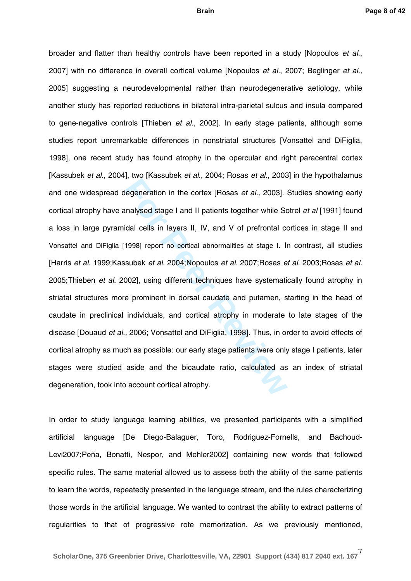For Preseason of any 1998, Hoster of any 1998.<br>
Hanalysed stage I and II patients together while Science is any 1998.<br>
Inalysed stage I and II patients together while Science is also ideal cells in layers II, IV, and V of broader and flatter than healthy controls have been reported in a study [Nopoulos *et al.*, 2007] with no difference in overall cortical volume [Nopoulos *et al.*, 2007; Beglinger *et al.,* 2005] suggesting a neurodevelopmental rather than neurodegenerative aetiology , while another study has reported reductions in bilateral intra -parietal sulcus and insula compared to gene -negative controls [Thieben *et al.,* 2002]. In early stage patients, although some studies report unremarkable differences in nonstriatal structures [Vonsattel and DiFiglia, 1998], one recent study has found atrophy in the opercular and right paracentral cortex [Kassubek *et al.*, 2004], two [Kassubek *et al.*, 2004; Rosas *et al.,* 2003] in the hypothalamus and one widespread degeneration in the cortex [Rosas *et al.,* 2003] . Studies showing early cortical atrophy have analysed stage I and II patients together while Sotrel *et al* [1991] found a loss in large pyramidal cells in layers II, IV, and V of prefrontal cortices in stage II and Vonsattel and DiFiglia [1998] report no cortical abnormalities at stage I . In contrast, all studies [Harris *et al.* 1999;Kassubek *et al.* 2004;Nopoulos *et al.* 2007;Rosas *et al.* 2003;Rosas *et al.* 2005;Thieben *et al.* 2002], using different techniques have systematically found atrophy in striatal structures more prominent in dorsal caudate and putamen, starting in the head of caudate in preclinical individuals , and cortical atrophy in moderate to late stages of the disease [Douaud *et al.,* 2006; Vonsattel and DiFiglia, 1998]. Thus , in order to avoid effects of cortical atrophy as much as possible: our early stage patients were only stage I patients, later stages were studied aside and the bicaudate ratio, calculated as an index of striatal degeneration , took into account cortical atrophy.

In order to study language learning abilities, we presented participants with a simplified artificial language [De Diego -Balaguer, Toro, Rodriguez -Fornells, and Bachoud - Levi2007;Peña, Bonatti, Nespor, and Mehler2002] containing new words that followed specific rules. The same material allowed us to assess both the ability of the same patients to learn the words, repeatedly presented in the language stream, and the rules characterizing those words in the artificial language. We wanted to contrast the ability to extract patterns of regularities to that of progressive rote memori zation. As we previously mentioned,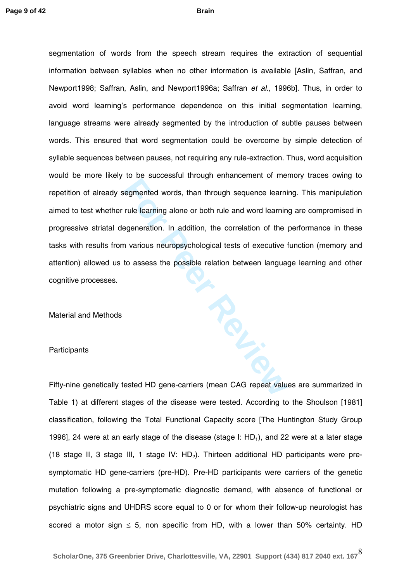**For Peer Review** segmentation of words from the speech stream requires the extraction of sequential information between syllables when no other information is available [Aslin, Saffran, and Newport1998; Saffran, Aslin, and Newport1996a; Saffran *et al.,*  1996b]. Thus, in order to avoid word learning's performance dependence on this initial segmentation learning, language streams were already segmented by the introduction of subtle pauses between words. This ensured that word segmentation could be overcome by simple detection of syllable sequences between pauses, not requiring any rule -extraction. Thus, word acquisition would be more likely to be successful through enhancement of memory traces owing to repetition of already segmented words, than through sequence learning. This manipulation aimed to test whether rule learning alone or both rule and word learning are compromised in progressive striatal degeneration. In addition, the correlation of the performance in these tasks with results from various neuropsychological tests of executive function (memory and attention) allowed us to assess the possible relation between language learning and other cognitive processes.

Material and Methods

#### **Participants**

Fifty-nine genetically tested HD gene-carriers (mean CAG repeat values are summarized in Table 1) at different stages of the disease were tested. According to the Shoulson [1981] classification, following the Total Functional Capacity score [The Huntington Study Group 1996], 24 were at an early stage of the disease (stage I:  $HD_1$ ), and 22 were at a later stage (18 stage II, 3 stage III, 1 stage IV:  $HD_2$ ). Thirteen additional HD participants were presymptomatic HD gene-carriers (pre-HD). Pre-HD participants were carriers of the genetic mutation following a pre -symptomatic diagnostic demand, with absence of functional or psychiatric signs and UHDRS score equal to 0 or for whom their follow -up neurologist has scored a motor sign  $\leq$  5, non specific from HD, with a lower than 50% certainty. HD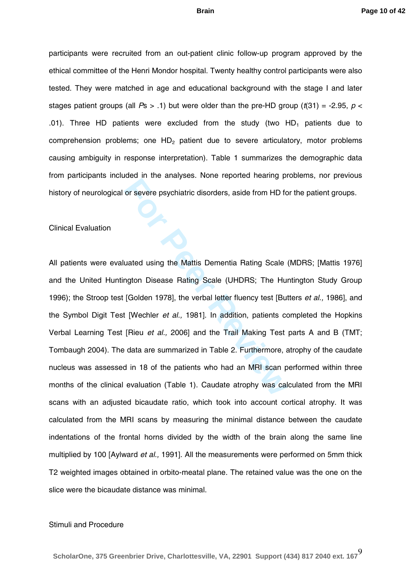participants were recruited from an out-patient clinic follow-up program approved by the ethical committee of the Henri Mondor hospital. Twenty healthy control participants were also tested. They were matched in age and educational background with the stage I and later stages patient groups (all  $Ps > .1$ ) but were older than the pre-HD group ( $t(31) = -2.95$ ,  $p <$ .01). Three HD patients were excluded from the study (two  $HD_1$  patients due to comprehension problems; one  $HD<sub>2</sub>$  patient due to severe articulatory, motor problems causing ambiguity in response interpretation). Table 1 summarizes the demographic data from participants included in the analyses. None reported hearing problems, nor previous history of neurological or severe psychiatric disorders, aside from HD for the patient groups.

#### Clinical Evaluation

For severe psychiatric disorders, aside from HD for severe psychiatric disorders, aside from HD for the Mattis Dementia Rating Scale (UHDRS; The Hu [Golden 1978], the verbal letter fluency test [But [Wechler *et al.*, 1981 All patients were evaluated using the Mattis Dementia Rating Scale (MDRS; [Mattis 1976] and the United Huntington Disease Rating Scale (UHDRS; The Huntington Study Group 1996); the Stroop test [Golden 1978], the verbal letter fluency test [Butters *et al.,* 1986], and the Symbol Digit Test [Wechler *et al.*, 1981]. In addition, patients completed the Hopkins Verbal Learning Test [Rieu *et al.,* 2006] and the Trail Making Test parts A and B (TMT; Tombaugh 2004). The data are summarized in Table 2. Furthermore, atrophy of the caudate nucleus was assessed in 18 of the patients who had an MRI scan performed within three months of the clinical evaluation (Table 1). Caudate atrophy was calculated from the MRI scans with an adjusted bicaudate ratio, which took into account cortical atrophy. It was calculated from the MRI scans by measuring the minimal distance between the caudate indentations of the frontal horns divided by the width of the brain along the same line multiplied by 100 [Aylward *et al.,* 1991]. All the measurements were performed on 5mm thick T2 weighted images obtained in orbito-meatal plane. The retained value was the one on the slice were the bicaudate distance was minimal.

#### Stimuli and Procedure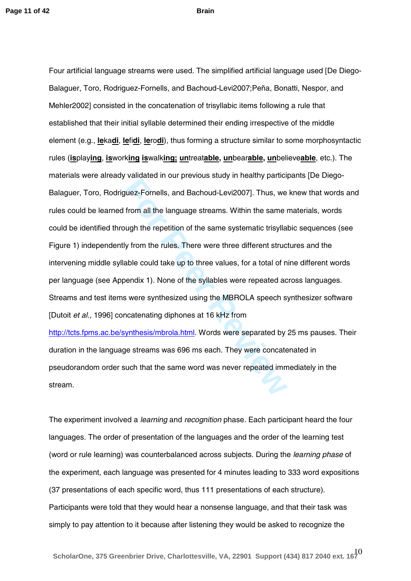Fundation if our protocolocal, if itself, purinciply<br>guez-Fornells, and Bachoud-Levi2007]. Thus, we<br>from all the language streams. Within the same is<br>ugh the repetition of the same systematic trisylla<br>ly from the rules. Th Four artificial language streams were used. The simplified artificial language used [De Diego - Balaguer, Toro, Rodriguez-Fornells, and Bachoud-Levi2007;Peña, Bonatti, Nespor, and Mehler2002] consisted in the concatenation of trisyllabic items following a rule that established that their initial syllable determined their ending irrespective of the middle element (e.g., **le**ka**di**, **le**fi**di**, **le**ro**di**), thus forming a structure similar to some morphosyntactic rules (**is**play**ing**, **is**work**ing is**walk**ing; un**treat**able, un**bear**able, un**believe**able**, etc.) . The materials were already validated in our previous study in healthy participants [De Diego - Balaguer, Toro, Rodriguez-Fornells, and Bachoud-Levi2007]. Thus, we knew that words and rules could be learned from all the language streams. Within the same materials, words could be identified through the repetition of the same systematic trisyllabic sequences (see Figure 1) independently from the rules. There were three different structures and the intervening middle syllable could take up to three values, for a total of nine different words per language (see Appendix 1). None of the syllables were repeated across languages. Streams and test items were synthesized using the MBROLA speech synthesizer software [Dutoit *et al.,* 1996] concatenating diphones at 16 kHz from [http://tcts.fpms.ac.be/synthesis/mbrola.html.](http://tcts.fpms.ac.be/synthesis/mbrola.html) Words were separated by 25 ms pauses. Their duration in the language streams was 696 ms each. They were concatenated in pseudorandom order such that the same word was never repeated immediately in the stream.

The experiment involved a *learning* and *recognition* phase. Each participant heard the four languages. The order of presentation of the languages and the order of the learning test (word or rule learning) was counterbalanced across subjects. During the *learning phase* of the experiment, each language was presented for 4 minutes leading to 333 word expositions (37 presentations of each specific word, thus 111 presentations of each structure). Participants were told that they would hear a nonsense language, and that their task was simply to pay attention to it because after listening they would be asked to recognize the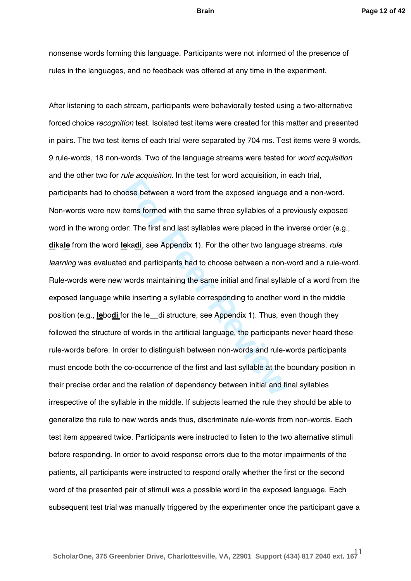nonsense words forming this language. Participants were not informed of the presence of rules in the languages, and no feedback was offered at any time in the experiment.

End addenture in the teater three dequations, in<br>
toose between a word from the exposed language<br>
tems formed with the same three syllables of a p<br>
pr: The first and last syllables were placed in the independent<br>
or the de After listening to each stream, participants were behaviorally tested using a two-alternative forced choice *recognition* test*.* Isolated test items were created for this matter and presented in pairs. The two test items of each trial were separated by 704 ms. Test items were 9 words, 9 rule -words, 18 non -words. Two of the language streams were tested for *word acquisition* and the other two for *rule acquisition.* In the test for word acquisition, in each trial, participants had to choose between a word from the exposed language and a non -word. Non -words were new items formed with the same three syllables of a previously exposed word in the wrong order: The first and last syllables were placed in the inverse order (e.g., **di**ka**le** from the word **le**ka**di**, see Appendix 1). For the other two language streams, *rule*  learning was evaluated and participants had to choose between a non-word and a rule-word. Rule -words were new words maintaining the same initial and final syllable of a word from the exposed language while inserting a syllable corresponding to another word in the middle position (e.g., **le**bo**di** for the le\_\_di structure, see Appendix 1). Thus, even though they followed the structure of words in the artificial language, the participants never heard these rule -words before. In order to distinguish between non -words and rule -words participants must encode both the co -occurrence of the first and last syllable at the boundary position in their precise order and the relation of dependency between initial and final syllables irrespective of the syllable in the middle. If subjects learned the rule they should be able to generalize the rule to new words ands thus, discriminate rule -words from non -words. Each test item appeared twice. Participants were instructed to listen to the two alternative stimuli before responding. In order to avoid response errors due to the motor impairments of the patients, all participants were instructed to respond orally whether the first or the second word of the presented pair of stimuli was a possible word in the exposed language. Each subsequent test trial was manually triggered by the experimenter once the participant gave a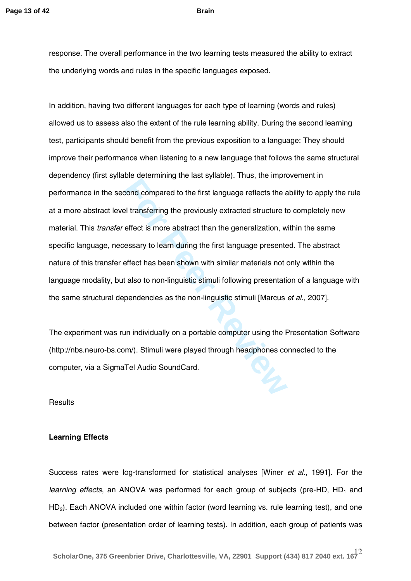response. The overall performance in the two learning tests measured the ability to extract the underlying words and rules in the specific languages exposed.

**Example 20 Excession Excession**, the interest of the first language reflects the and all transferring the previously extracted structure to effect is more abstract than the generalization, we essary to learn during the fi In addition, having two different languages for each type of learning (words and rules) allowed us to assess also the extent of the rule learning ability. During the second learning test, participants should benefit from the previous exposition to a language: They should improve their performance when listening to a new language that follows the same structural dependency (first syllable determining the last syllable). Thus, the improvement in performance in the second compared to the first language reflects the ability to apply the rule at a more abstract level transferring the previously extracted structure to completely new material. This *transfer* effect is more abstract than the generalization, within the same specific language, necessary to learn during the first language presented. The abstract nature of this transfer effect has been shown with similar materials not only within the<br>language modality, but also to non-linguistic stimuli following presentation of a language with the same structural dependencies as the non -linguistic stimuli [Marcus *et al.,* 2007].

The experiment was run individually on a portable computer using the Presentation Software (http://nbs.neuro -bs.com/). Stimuli were played through headphones connected to the computer, via a SigmaTel Audio SoundCard.

**Results** 

#### **Learning Effects**

Success rates were log-transformed for statistical analyses [Winer *et al.,* 1991]. For the learning effects, an ANOVA was performed for each group of subjects (pre-HD, HD<sub>1</sub> and HD 2). Each ANOVA included one within factor (word learning vs. rule learning test), and one between factor (presentation order of learning tests). In addition, each group of patients was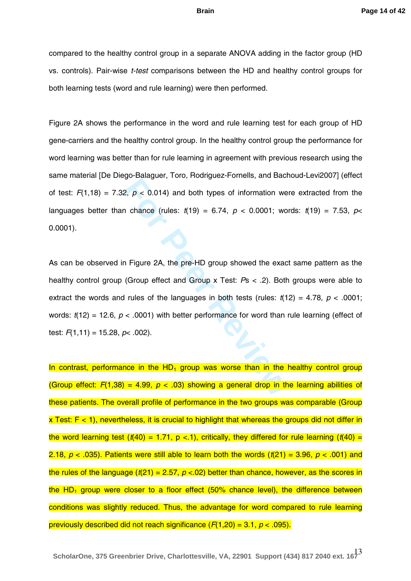compared to the healthy control group in a separate ANOVA adding in the factor group (HD vs. controls). Pair -wise *t-test* comparisons between the HD and healthy control groups for both learning tests (word and rule learning) were then performed.

Figure 2 A shows the performance in the word and rule learning test for each group of HD gene -carriers and the healthy control group. In the healthy control group the performance for word learning was better than for rule learning in agreement with previous research using the same material [De Diego -Balaguer, Toro, Rodriguez -Fornells, and Bachoud -Levi2007] (effect of test:  $F(1,18) = 7.32$ ,  $p < 0.014$ ) and both types of information were extracted from the languages better than chance (rules:  $t(19) = 6.74$ ,  $p < 0.0001$ ; words:  $t(19) = 7.53$ ,  $p<$ 0.0001).

**For Perronnian** and both types of information we<br> **For Peer Reviews** contently, and both types of information we<br> **Figure 2A, the pre-HD group showed the exactle exactle in Figure 2A, the pre-HD group showed the exactle** As can be observed in Figure 2A, the pre-HD group showed the exact same pattern as the healthy control group (Group effect and Group x Test: *P*s < .2). Both groups were able to extract the words and rules of the languages in both tests (rules:  $t(12) = 4.78$ ,  $p < .0001$ ; words:  $t(12) = 12.6$ ,  $p < .0001$ ) with better performance for word than rule learning (effect of test: *F*(1,11) = 15.28, *p*< .002).

In contrast, performance in the HD<sub>1</sub> group was worse than in the healthy control group (Group effect:  $F(1,38) = 4.99$ ,  $p < .03$ ) showing a general drop in the learning abilities of these patients. The overall profile of performance in the two groups was comparable (Group  $x$  Test:  $F < 1$ ), nevertheless, it is crucial to highlight that whereas the groups did not differ in the word learning test  $(t(40) = 1.71, p < 1)$ , critically, they differed for rule learning  $(t(40) =$ 2.18,  $p$  < .035). Patients were still able to learn both the words  $(t(21) = 3.96, p < .001)$  and the rules of the language (*t*(21) = 2.57, *p* <.02) better than chance, however, as the scores in the HD<sub>1</sub> group were closer to a floor effect (50% chance level), the difference between conditions was slightly reduced. Thus, the advantage for word compared to rule learning previously described did not reach significance ( *F*(1,20) = 3.1, *p* < .095).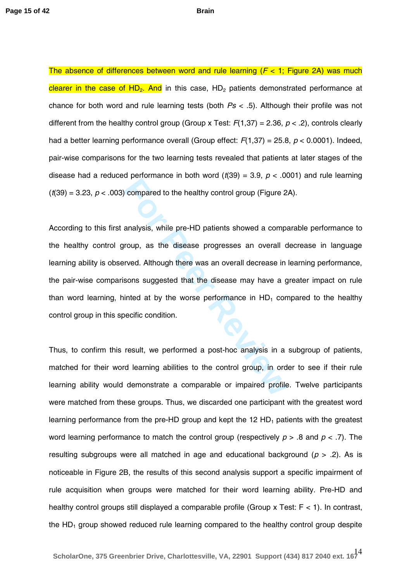The absence of differences between word and rule learning ( *F* < 1; Figure 2A) was much clearer in the case of HD<sub>2</sub>. And in this case, HD<sub>2</sub> patients demonstrated performance at chance for both word and rule learning tests (both *Ps* < .5). Although their profile was not different from the healthy control group (Group x Test: *F*(1,37) = 2.36, *p* < .2), controls clearly had a better learning performance overall (Group effect: *F*(1,37) = 25.8, *p* < 0.0001). Indeed, pair -wise comparisons for the two learning tests revealed that patients at later stages of the disease had a reduced performance in both word  $(t(39) = 3.9, p < .0001)$  and rule learning  $(t(39) = 3.23, p < .003)$  compared to the healthy control group (Figure 2A).

**Example 3** and the healthy control group (Figure 2<br> **Examples 2** analysis, while pre-HD patients showed a compare<br> **For Peer Reviewald Although there was an overall decrease in**<br> **For Peer Reviewald Although there was an** According to this first analysis, while pre -HD patients showed a comparable performance to the healthy control group, as the disease progresses an overall decrease in language learning ability is observed. Although there was an overall decrease in learning performance, the pair -wise comparisons suggested that the disease may have a greater impact on rule than word learning, hinted at by the worse performance in HD 1 compared to the healthy control group in this specific condition.

Thus, to confirm this result, we performed a post -hoc analysis in a subgroup of patients, matched for their word learning abilities to the control group, in order to see if their rule learning ability would demonstrate a comparable or impaired profile. Twelve participants were matched from these groups. Thus, we discarded one participant with the greatest word learning performance from the pre-HD group and kept the 12 HD<sub>1</sub> patients with the greatest word learning performance to match the control group (respectively *p* > .8 and *p* < .7). The resulting subgroups were all matched in age and educational background ( *p* > .2). As is noticeable in Figure 2B, the results of this second analysis support a specific impairment of rule acquisition when groups were matched for their word learning ability. Pre -HD and healthy control groups still displayed a comparable profile (Group x Test: F < 1). In contrast, the HD 1 group showed reduced rule learning compared to the healthy control group despite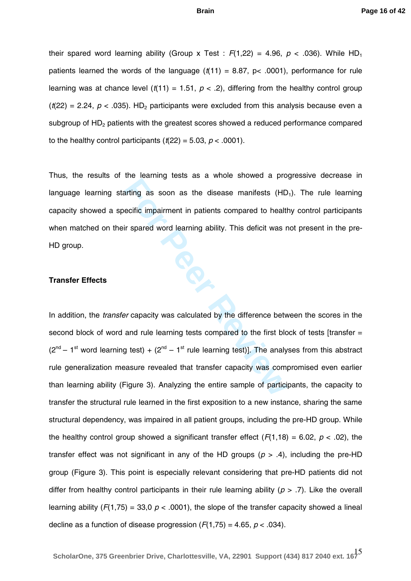their spared word learning ability (Group x Test :  $F(1,22) = 4.96, p < .036$ ). While HD<sub>1</sub> patients learned the words of the language  $(t(11) = 8.87, p< .0001)$ , performance for rule learning was at chance level  $(t(11) = 1.51, p < .2)$ , differing from the healthy control group  $(t(22) = 2.24, p < .035)$ . HD<sub>2</sub> participants were excluded from this analysis because even a subgroup of HD 2 patients with the greatest scores showed a reduced performance compared to the healthy control participants  $(t(22) = 5.03, p < .0001)$ .

Thus, the results of the learning tests as a whole showed a progressive decrease in language learning starting as soon as the disease manifests (HD<sub>1</sub>). The rule learning capacity showed a specific impairment in patients compared to healthy control participants when matched on their spared word learning ability. This deficit was not present in the pre-HD group.

#### **Transfer Effects**

Internal as soon as the disease manifests (HD<br>
For Peer Reviewal and a soon as the disease manifests (HD<br>
For Peer Space Reviewal in patients compared to health<br>
For Peer Capacity was calculated by the difference between<br> In addition, the *transfer* capacity was calculated by the difference between the scores in the second block of word and rule learning tests compared to the first block of tests [transfer =  $(2^{nd} - 1^{st}$  word learning test) +  $(2^{nd} - 1^{st}$  rule learning test)]. The analyses from this abstract rule generalization measure revealed that transfer capacity was compromised even earlier than learning ability (Figure 3). Analyzing the entire sample of participants, the capacity to transfer the structural rule learned in the first exposition to a new instance, sharing the same structural dependency, was impaired in all patient groups, including the pre -HD group. While the healthy control group showed a significant transfer effect  $(F(1, 18) = 6.02, p < .02)$ , the transfer effect was not significant in any of the HD groups ( *p* > .4), including the pre -HD group (Figure 3). This point is especially relevant considering that pre -HD patients did not differ from healthy control participants in their rule learning ability ( *p* > .7). Like the overall learning ability  $(F(1,75) = 33,0 \, p < .0001)$ , the slope of the transfer capacity showed a lineal decline as a function of disease progression  $(F(1,75) = 4.65, p < .034)$ .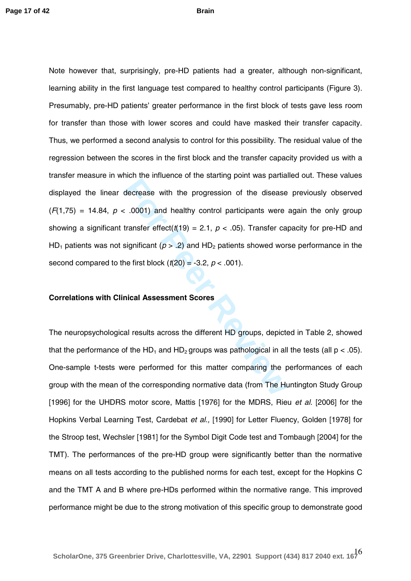For the innertial interact of the claiming permitted energy<br>decrease with the progression of the disease<br>transfer effect( $t(19) = 2.1$ ,  $p < .05$ ). Transfer ca<br>significant ( $p > .2$ ) and  $HD_2$  patients showed wor<br>ne first bloc Note however that, surprisingly, pre -HD patients had a greater, although non -significant, learning ability in the first language test compared to healthy control participants (Figure 3). Presumably, pre -HD patients' greater performance in the first block of tests gave less room for transfer than those with lower scores and could have masked their transfer capacity. Thus, we performed a second analysis to control for this possibility. The residual value of the regression between the scores in the first block and the transfer capacity provided us with a transfer measure in which the influence of the starting point was partialled out. These values displayed the linear decrease with the progression of the disease previously observed (*F*(1,75) = 14.84, *p* < .0001) and healthy control participants were again the only group showing a significant transfer effect( $t(19) = 2.1$ ,  $p < .05$ ). Transfer capacity for pre-HD and HD<sub>1</sub> patients was not significant ( $p > .2$ ) and HD<sub>2</sub> patients showed worse performance in the second compared to the first block  $(t(20) = -3.2, p < .001)$ .

#### **Correlations with Clinical Assessment Scores**

The neuropsychological results across the different HD groups, depicted in Table 2, showed that the performance of the HD<sub>1</sub> and HD<sub>2</sub> groups was pathological in all the tests (all p < .05). One -sample t -tests were performed for this matter comparing the performances of each group with the mean of the corresponding normative data (from The Huntington Study Group [1996] for the UHDRS motor score, Mattis [1976] for the MDRS, Rieu *et al.* [2006] for the Hopkins Verbal Learning Test, Cardebat *et al.,* [1990] for Letter Fluency, Golden [1978] for the Stroop test, Wechsler [1981] for the Symbol Digit Code test and Tombaugh [2004] for the TMT). The performances of the pre-HD group were significantly better than the normative means on all tests according to the published norms for each test, except for the Hopkins C and the TMT A and B where pre -HDs performed within the normative range . This improved performance might be due to the strong motivation of this specific group to demonstrate good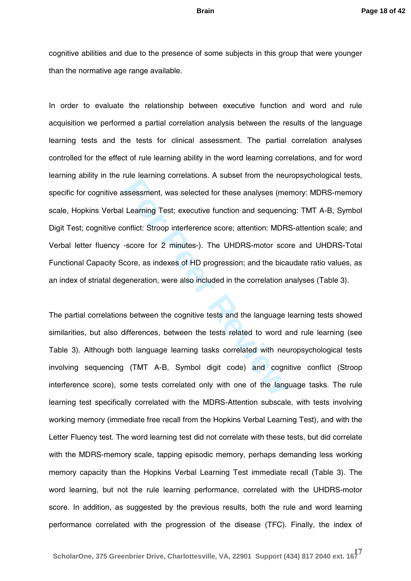cognitive abilities and due to the presence of some subjects in this group that were younger than the normative age range available.

**Example 12 Formal Algebra Sessensment, was selected for these analyses (me**<br>**Learning Test; executive function and sequencionflict:** Stroop interference score; attention: MDR<br>-score for 2 minutes-). The UHDRS-motor sco<br>co In order to evaluate the relationship between executive function and word and rule acquisition we performed a partial correlation analysis between the results of the language learning tests and the tests for clinical assessment. The partial correlation analyses controlled for the effect of rule learning ability in the word learning correlations, and for word learning ability in the rule learning correlations. A subset from the neuropsychological tests, specific for cognitive assessment, was selected for these analyses (memory: MDRS-memory scale, Hopkins Verbal Learning Test; executive function and sequencing: TMT A -B, Symbol Digit Test; cognitive conflict: Stroop interference score; attention: MDRS -attention scale; and Verbal letter fluency -score for 2 minutes-). The UHDRS-motor score and UHDRS-Total Functional Capacity Score, as indexes of HD progression; and the bicaudate ratio values, as an index of striatal degeneration, were also included in the correlation analyses (Table 3).

The partial correlations between the cognitive tests and the language learning tests showed similarities, but also differences, between the tests related to word and rule learning (see Table 3). Although both language learning tasks correlated with neuropsychological tests involving sequencing (TMT A -B, Symbol digit code) and cognitive conflict (Stroop interference score), some tests correlated only with one of the language tasks. The rule learning test specifically correlated with the MDRS -Attention subscale, with tests involving working memory (immediate free recall from the Hopkins Verbal Learning Test), and with the Letter Fluency test. The word learning test did not correlate with these tests, but did correlate with the MDRS -memory scale, tapping episodic memory, perhaps demanding less working memory capacity than the Hopkins Verbal Learning Test immediate re call (Table 3). The word learning, but not the rule learning performance, correlated with the UHDRS -motor score. In addition, as suggested by the previous results, both the rule and word learning performance correlated with the progression of the disease (TFC). Finally, the index of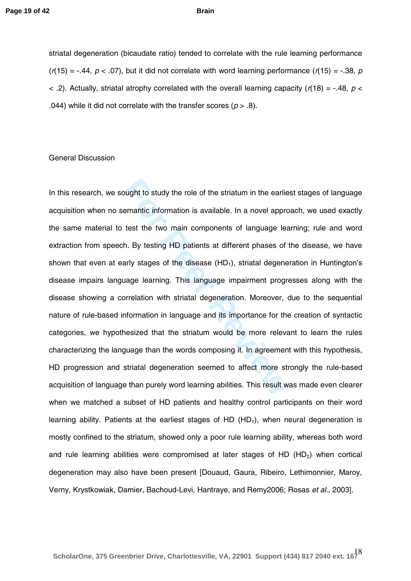striatal degeneration (bicaudate ratio) tended to correlate with the rule learning performance (*r*(15) = -.44, *p* < .07), but it did not correlate with word learning performance (*r*(15) = -.38, *<sup>p</sup>*  $\le$  .2). Actually, striatal atrophy correlated with the overall learning capacity ( $r(18)$  = -.48,  $p$   $\le$ .044) while it did not correlate with the transfer scores  $(p > .8)$ .

#### General Discussion

bught to study the role of the striatum in the earliender and the striature information is available. In a novel approvement test the two main components of language learly stages of the disease (HD<sub>1</sub>), striatal degenerat In this research, we sought to study the role of the striatum in the earliest stages of language acquisition when no semantic information is available. In a novel approach, we used exactly the same material to test the two main components of language learning; rule and word extraction from speech. By testing HD patients at different phases of the disease, we have shown that even at early stages of the disease (HD 1), striatal degeneration in Huntington's disease impairs language learning. This language impairment progresses along with the disease showing a correlation with striatal degeneration. Moreover, due to the sequential nature of rule -based information in language and its importance for the creation of syntactic categories, we hypothesized that the striatum would be more relevant to learn the rules characterizing the language than the words composing it. In agreement with this hypothesis, HD progression and striatal degeneration seemed to affect more strongly the rule -based acquisition of language than purely word learning abilities. This result was made even clearer when we matched a subset of HD patients and healthy control participants on their word learning ability. Patients at the earliest stages of HD (HD<sub>1</sub>), when neural degeneration is mostly confined to the striatum, showed only a poor rule learning ability, whereas both word and rule learning abilities were compromised at later stages of HD (HD 2) when cortical degeneration may also have been present [Douaud, Gaura, Ribeiro, Lethimonnier, Maroy, Verny, Krystkowiak, Damier, Bachoud-Levi, Hantraye, and Remy2006; Rosas *et al.,* 2003].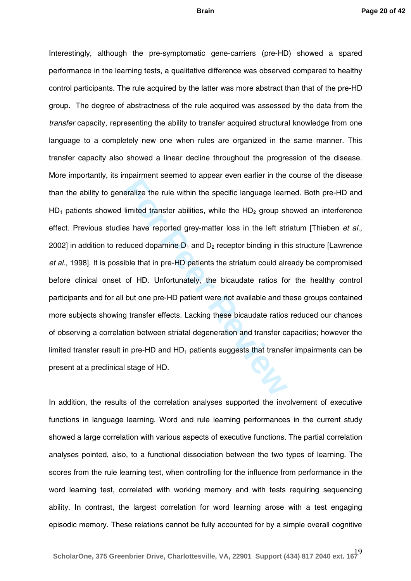Framment econocal delaytive of explosive terms in the eralize the rule within the specific language learn limited transfer abilities, while the  $HD_2$  group shass have reported grey-matter loss in the left stratured dopami Interestingly, although the pre -symptomatic gene -carriers (pre -HD) showed a spared performance in the learning tests, a qualitative difference was observed compared to healthy control participants. The rule acquired by the latter was more abstract than that of the pre -HD group. The degree of abstractness of the rule acquired was assessed by the data from the *transfer* capacity, representing the ability to transfer acquired structural knowledge from one language to a completely new one when rules are organized in the same manner. This transfer capacity also showed a linear decline throughout the progression of the disease. More importantly, its impairment seemed to appear even earlier in the course of the disease than the ability to generalize the rule within the specific language learned. Both pre-HD and  $HD_1$  patients showed limited transfer abilities, while the  $HD_2$  group showed an interference effect. Previous studies have reported grey-matter loss in the left striatum [Thieben *et al.,* 2002] in addition to reduced dopamine D<sub>1</sub> and D<sub>2</sub> receptor binding in this structure [Lawrence et al., 1998]. It is possible that in pre-HD patients the striatum could already be compromised before clinical onset of HD. Unfortunately, the bicaudate ratios for the healthy control participants and for all but one pre-HD patient were not available and these groups contained more subjects showing transfer effects. Lacking these bicaudate ratios reduced our chances of observing a correlation between striatal degeneration and transfer capacities; however the limited transfer result in pre-HD and  $HD_1$  patients suggests that transfer impairments can be present at a preclinical stage of HD.

In addition, the results of the correlation analyses supported the involvement of executive functions in language learning. Word and rule learning performances in the current study showed a large correlation with various aspects of executive functions. The partial correlation analyses pointed, also, to a functional dissociation between the two types of learning. The scores from the rule learning test, when controlling for the influence from performance in the word learning test, correlated with working memory and with tests requiring sequencing ability. In contrast, the largest correlation for word learning arose with a test engaging episodic memory. These relations cannot be fully accounted for by a simple overall cognitive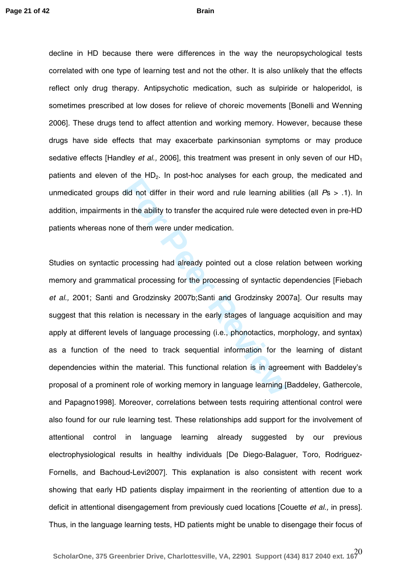decline in HD because there were differences in the way the neuropsychological tests correlated with one type of learning test and not the other. It is also unlikely that the effects reflect only drug therapy. Antipsychotic medication, such as sulpiride or haloperidol, is sometimes prescribed at low doses for relieve of choreic movements [Bonelli and Wenning 2006]. These drugs tend to affect attention and working memory. However, because these drugs have side effects that may exacerbate parkinsonian symptoms or may produce sedative effects [Handley *et al.,* 2006], this treatment was present in only seven of our HD 1 patients and eleven of the HD<sub>2</sub>. In post-hoc analyses for each group, the medicated and unmedicated group s did not differ in their word and rule learning abilities (all *P*s > .1) . In addition, impairments in the ability to transfer the acquired rule were detected even in pre-HD patients whereas none of them were under medication .

For the High their word and rule learning abdid not differ in their word and rule learning ab<br>in the ability to transfer the acquired rule were de<br>e of them were under medication.<br>processing had already pointed out a close Studies on syntactic processing had already pointed out a close relation between working memory and grammatical processing for the processing of syntactic dependencies [Fiebach *et al.,* 2001; Santi and Grodzinsky 2007b;Santi and Grodzinsky 2007a]. Our results may suggest that this relation is necessary in the early stages of language acquisition and may apply at different levels of language processing (i.e., phonotactics, morphology, and syntax) as a function of the need to track sequential information for the learning of distant dependencies within the material. This functional relation is in agreement with Baddeley's proposal of a prominent role of working memory in language learning [Baddeley, Gathercole, and Papagno1998]. Moreover, correlations between tests requiring attentional control were also found for our rule learning test. These relationships add support for the involvement of attentional control in language learning already suggested by our previous electrophysiological results in healthy individuals [De Diego -Balaguer, Toro, Rodriguez - Fornells, and Bachoud -Levi2007]. This explanation is also consistent with recent work showing that early HD patients display impairment in the reorienting of attention due to a deficit in attentional disengagement from previously cued locations [Couette *et al.,* in press]. Thus, in the language learning tests, HD patients might be unable to disengage their focus of

20 **ScholarOne, 375 Greenbrier Drive, Charlottesville, VA, 22901 Support (434) 817 2040 ext. 167**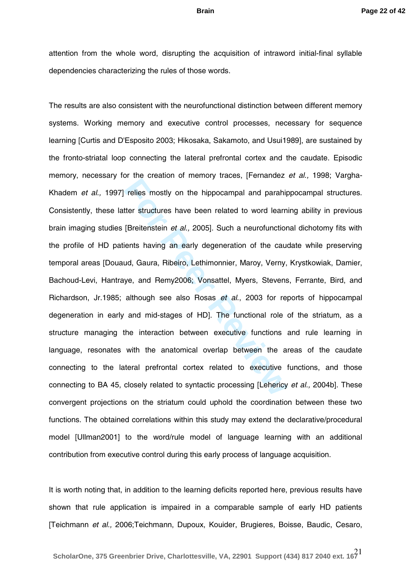attention from the whole word, disrupting the acquisition of intraword initial -final syllable dependencies characterizing the rules of those words.

France Broadcast of minities, account probabilities mostly on the hippocampal and parahige<br>ther structures have been related to word learn<br>[Breitenstein *et al.,* 2005]. Such a neurofunction<br>ients having an early degenerat The results are also consistent with the neurofunctional distinction between different memory systems. Working memory and executive control processes, necessary for sequence learning [Curtis and D'Esposito 2003; Hikosaka, Sakamoto, and Usui1989], are sustained by the fronto -striatal loop connecting the lateral prefrontal cortex and the caudate. Episodic memory, necessary for the creation of memory traces, [Fernandez *et al.,* 1998; Vargha - Khadem *et al.,* 1997] relies mostly on the hippocampal and parahippocampal structures. Consistently, these latter structures have been related to word learning ability in previous brain imaging studies [Breitenstein *et al.,* 2005]. Such a neurofunctional dichotomy fits with the profile of HD patients having an early degeneration of the caudate while preserving temporal areas [Douaud, Gaura, Ribeiro, Lethimonnier, Maroy, Verny, Krystkowiak, Damier, Bachoud -Levi, Hantraye, and Remy2006; Vonsattel, Myers, Stevens, Ferrante, Bird, and Richardson, Jr.1985; although see also Rosas *et al*., 2003 for reports of hippocampal degeneration in early and mid-stages of HD]. The functional role of the striatum, as a structure managing the interaction between executive functions and rule learning in language, resonates with the anatomical overlap between the areas of the caudate connecting to the lateral prefrontal cortex related to executive functions, and those connecting to BA 45, closely related to syntactic processing [Lehericy *et al.,* 2004b]. These convergent projections on the striatum could uphold the coordination between these two functions. The obtained correlations within this study may extend the declarative/procedural model [Ullman2001] to the word/rule model of language learning with an additional contribution from executive control during this early process of language acquisition.

It is worth noting that, in addition to the learning deficits reported here, previous results have shown that rule application is impaired in a comparable sample of early HD patients [Teichmann *et al.,* 2006;Teichmann, Dupoux, Kouider, Brugieres, Boisse, Baudic, Cesaro,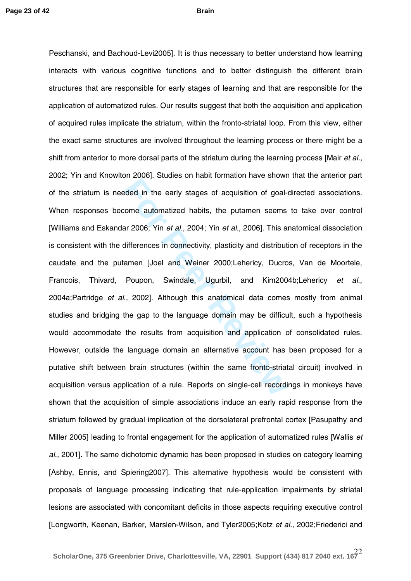For Peer Peerly stages of acquisition of goal-<br> **For Peerly Stages of acquisition of goal-**<br> **For Peerly Stages of acquisition of goal-**<br> **For Peer Reviews** and *For Peer Reviews*, Duckeyer Peer Reviews, Duckeyer Peer Peer Peschanski, and Bachoud -Levi2005]. It is thus necessary to better understand how learning interacts with various cognitive functions and to better distinguish the different brain structures that are responsible for early stages of learning and that are responsible for the application of automatized rules. Our results suggest that both the acquisition and application of acquired rules implicate the striatum, within the fronto -striatal loop. From this view, either the exact same structures are involved throughout the learning process or there might be a shift from anterior to more dorsal parts of the striatum during the learning process [Mair *et al.,*  2002; Yin and Knowlton 2006]. Studies on habit formation have shown that the anterior part of the striatum is needed in the early stages of acquisition of goal -directed associations. When responses become automatized habits, the putamen seems to take over control [Williams and Eskandar 2006; Yin *et al.,* 2004; Yin *et al.,* 2006]. This anatomical dissociation is consistent with the differences in connectivity, plasticity and distribution of receptors in the caudate and the putamen [Joel and Weiner 2000;Lehericy, Ducros, Van de Moortele, Francois, Thivard, Poupon, Swindale, Ugurbil, and Kim2004b;Lehericy *et al.,*  2004a;Partridge *et al.,* 2002]. Although this anatomical data comes mostly from animal studies and bridging the gap to the language domain may be difficult, such a hypothesis would accommodate the results from acquisition and application of consolidated rules. However, outside the language domain an alternative account has been proposed for a putative shift between brain structures (within the same fronto -striatal circuit) involved in acquisition versus application of a rule. Reports on single -cell recordings in monkeys have shown that the acquisition of simple associations induce an early rapid response from the striatum followed by gradual implication of the dorsolateral prefrontal cortex [Pasupathy and Miller 2005] leading to frontal engagement for the application of automatized rules [Wallis *et al.,* 2001]. The same dichotomic dynamic has been proposed in studies on category learning [Ashby, Ennis, and Spiering2007]. This alternative hypothesis would be consistent with proposals of language processing indicating that rule -application impairments by striatal lesions are associated with concomitant deficits in those aspects requiring executive control [Longworth, Keenan, Barker, Marslen -Wilson, and Tyler2005;Kotz *et al.,* 2002;Friederici and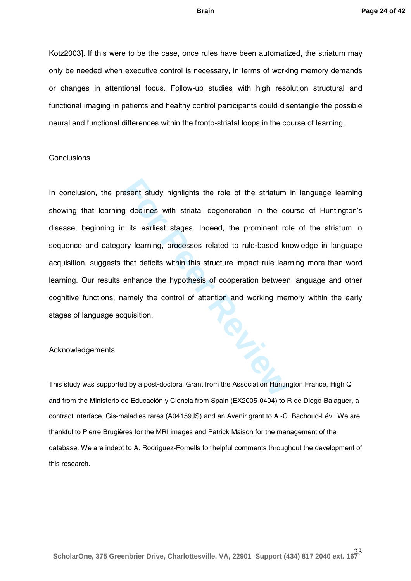Kotz2003]. If this were to be the case, once rules have been automatized, the striatum may only be needed when executive control is necessary, in terms of working memory demands or changes in attentional focus. Follow -up studies with high resolution structural and functional imaging in patients and healthy control participants could disentangle the possible neural and functional differences within the fronto -striatal loops in the course of learning.

#### **Conclusions**

For Personal study highlights the role of the striatum<br> **For Personal standard in the conduct of the striature**<br> **For Personal Standard Standard in the control of standard in the structure impact rule lea<br>
<b>For Personal St** In conclusion, the present study highlights the role of the striatum in language learning showing that learning declines with striatal degeneration in the course of Huntington's disease, beginning in its earliest stages. Indeed, the prominent role of the striatum in sequence and category learning, processes related to rule -based knowledge in language acquisition, suggests that deficits within this structure impact rule learning more than word learning. Our results enhance the hypothesis of cooperation between language and other cognitive functions, namely the control of attention and working memory within the early stages of language acquisition.

#### Acknowledgements

This study was supported by a post-doctoral Grant from the Association Huntington France, High Q and from the Ministerio de Educación y Ciencia from Spain (EX2005 -0404) to R de Diego -Balaguer, a contract interface, Gis-maladies rares (A04159JS) and an Avenir grant to A.-C. Bachoud-Lévi. We are thankful to Pierre Brugières for the MRI images and Patrick Maison for the management of the database. We are indebt to A. Rodriguez-Fornells for helpful comments throughout the development of this research.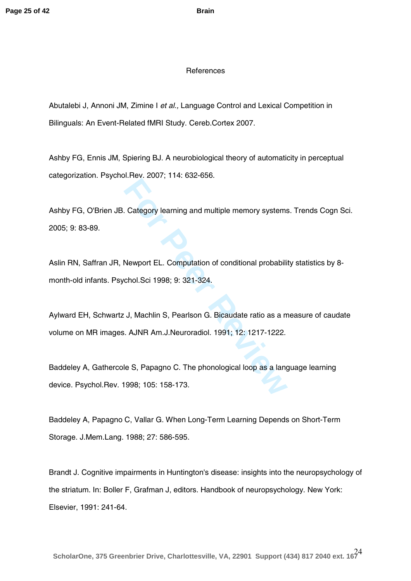#### References

Abutalebi J, Annoni JM, Zimine I *et al.,* Language Control and Lexical Competition in Bilinguals: An Event -Related fMRI Study. Cereb.Cortex 2007.

Ashby FG, Ennis JM, Spiering BJ. A neurobiological theory of automaticity in perceptual categorization. Psychol.Rev. 2007; 114: 632 -656.

Ashby FG, O'Brien JB. Category learning and multiple memory systems. Trends Cogn Sci. 2005; 9: 83 -89.

Example 12001, 1991 and multiple memory systems<br> **For Peer Reviews 1201**<br> **For Peer Reviews 1201**<br> **For Peer Reviews 12012**<br> **For Peer Reviews 12014**<br> **For Peer Reviews 12014**<br> **For Peer Reviews 12014**<br> **For Peer Reviews 1** Aslin RN, Saffran JR, Newport EL. Computation of conditional probability statistics by 8month -old infants. Psychol .Sci 1998; 9: 321 -324.

Aylward EH, Schwartz J, Machlin S, Pearlson G. Bicaudate ratio as a measure of caudate volume on MR images. AJNR Am.J.Neuroradiol. 1991; 12: 1217 -1222.

Baddeley A, Gathercole S, Papagno C. The phonological loop as a language learning device. Psychol.Rev. 1998; 105: 158 -173.

Baddeley A, Papagno C, Vallar G. When Long -Term Learning Depends on Short -Term Storage. J.Mem.Lang. 1988; 27: 586 -595.

Brandt J. Cognitive impairments in Huntington's disease: insights into the neuropsychology of the striatum. In: Boller F, Grafman J, editors. Handbook of neuropsychology. New York: Elsevier, 1991: 241 -64.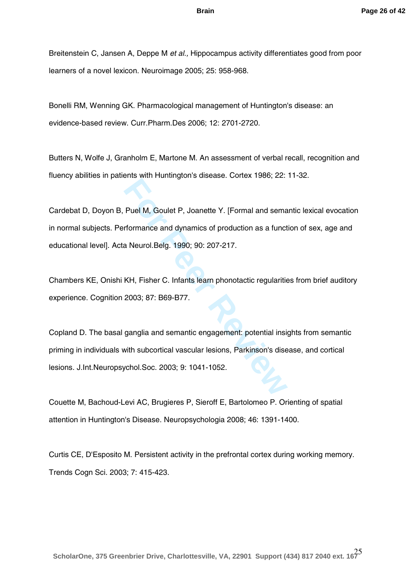Breitenstein C, Jansen A, Deppe M *et al.,* Hippocampus activity differentiates good from poor learners of a novel lexicon. Neuroimage 2005; 25: 958 -968.

Bonelli RM, Wenning GK. Pharmacological management of Huntington's disease: an evidence -based review. Curr.Pharm.Des 2006; 12: 2701 -2720.

Butters N, Wolfe J, Granholm E, Martone M. An assessment of verbal recall, recognition and fluency abilities in patients with Huntington's disease. Cortex 1986; 22: 11 -32.

Frame Mark Handley, Joannette Y. [Formal and semant<br>**Formance and dynamics of production as a funct**<br>a Neurol.Belg. 1990; 90: 207-217.<br>KH, Fisher C. Infants learn phonotactic regularitie<br>2003; 87: B69-B77.<br>ganglia and sema Cardebat D, Doyon B, Puel M, Goulet P, Joanette Y. [Formal and semantic lexical evocation in normal subjects. Performance and dynamics of production as a function of sex, age and educational level]. Acta Neurol.Belg. 1990; 90: 207 -217.

Chambers KE, Onishi KH, Fisher C. Infants learn phonotactic regularities from brief auditory experience. Cognition 2003; 87: B69 -B77.

Copland D. The basal ganglia and semantic engagement: potential insights from semantic priming in individuals with subcortical vascular lesions, Parkinson's disease, and cortical lesions. J.Int.Neuropsychol.Soc. 2003; 9: 1041 -1052.

Couette M, Bachoud -Levi AC, Brugieres P, Sieroff E, Bartolomeo P. Orienting of spatial attention in Huntington's Disease. Neuropsychologia 2008; 46: 1391 -1400.

Curtis CE, D'Esposito M. Persistent activity in the prefrontal cortex during working memory. Trends Cogn Sci. 2003; 7: 415 -423.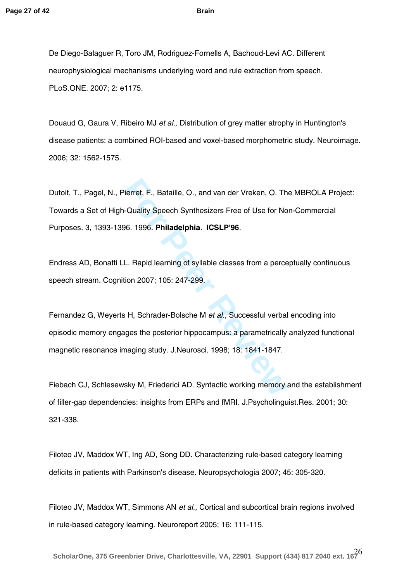De Diego-Balaguer R, Toro JM, Rodriguez-Fornells A, Bachoud-Levi AC. Different neurophysiological mechanisms underlying word and rule extraction from speech. PLoS.ONE. 2007; 2: e1175.

Douaud G, Gaura V, Ribeiro MJ *et al.,* Distribution of grey matter atrophy in Huntington's disease patients: a combined ROI -based and voxel -based morphometric study. Neuroimage. 2006; 32: 1562 -1575.

Dutoit, T., Pagel, N., Pierret, F., Bataille, O., and van der Vreken, O. The MBROLA Project: Towards a Set of High-Quality Speech Synthesizers Free of Use for Non-Commercial Purposes. 3, 1393 -1396. 1996. **Philadelphia**. **ICSLP'96**.

Endress AD, Bonatti LL. Rapid learning of syllable classes from a perceptually continuous speech stream. Cognition 2007; 105: 247 -299.

**For Peer Review** Fernandez G, Weyerts H, Schrader -Bolsche M *et al.,* Successful verbal encoding into episodic memory engages the posterior hippocampus: a parametrically analyzed functional magnetic resonance imaging study. J.Neurosci. 1998; 18: 1841 -1847.

Fiebach CJ, Schlesewsky M, Friederici AD. Syntactic working memory and the establishment of filler -gap dependencies: insights from ERPs and fMRI. J.Psycholinguist.Res. 2001; 30: 321 -338.

Filoteo JV, Maddox WT, Ing AD, Song DD. Characterizing rule -based category learning deficits in patients with Parkinson's disease. Neuropsychologia 2007; 45: 305 -320.

Filoteo JV, Maddox WT, Simmons AN *et al.,* Cortical and subcortical brain regions involved in rule -based category learning. Neuroreport 2005; 16: 111 -115.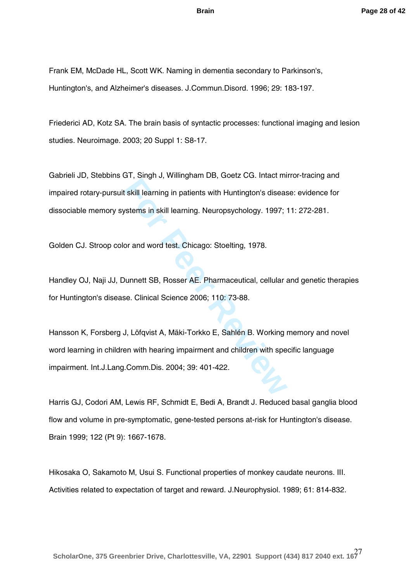Frank EM, McDade HL, Scott WK. Naming in dementia secondary to Parkinson's, Huntington's, and Alzheimer's diseases. J.Commun.Disord. 1996; 29: 183 -197.

Friederici AD, Kotz SA. The brain basis of syntactic processes: functional imaging and lesion studies. Neuroimage. 2003; 20 Suppl 1: S8 -17.

Gabrieli JD, Stebbins GT, Singh J, Willingham DB, Goetz CG. Intact mirror -tracing and impaired rotary -pursuit skill learning in patients with Huntington's disease: evidence for dissociable memory systems in skill learning. Neuropsychology. 1997; 11: 272-281.

Golden CJ. Stroop color and word test. Chicago: Stoelting, 1978.

Handley OJ, Naji JJ, Dunnett SB, Rosser AE. Pharmaceutical, cellular and genetic therapies for Huntington's disease. Clinical Science 2006; 110: 73 -88.

**Formally, Manufarther, Manufarther, 1981)**<br> **Formally example in patients with Huntington's diseased stems in skill learning. Neuropsychology. 1997;<br>
or and word test. Chicago: Stoelting, 1978.<br>
<b>Property 1978.**<br> **Propert** Hansson K, Forsberg J, Löfqvist A, Mäki -Torkko E, Sahlén B. Working memory and novel word learning in children with hearing impairment and children with specific language impairment. Int.J.Lang.Comm.Dis . 2004; 39: 401 -422.

Harris GJ, Codori AM, Lewis RF, Schmidt E, Bedi A, Brandt J. Reduced basal ganglia blood flow and volume in pre-symptomatic, gene-tested persons at-risk for Huntington's disease. Brain 1999; 122 (Pt 9): 1667 -1678.

Hikosaka O, Sakamoto M, Usui S. Functional properties of monkey caudate neurons. III. Activities related to expectation of target and reward. J.Neurophysiol. 1989; 61: 814 -832.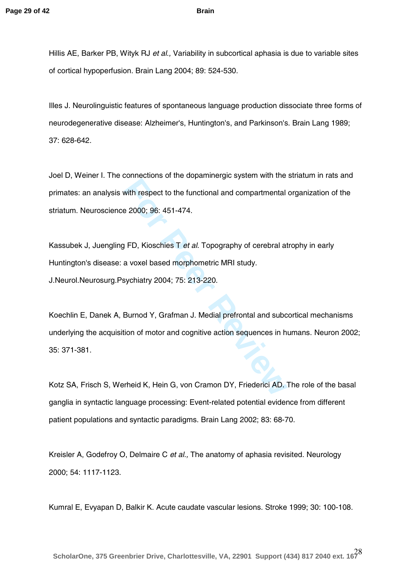Hillis AE, Barker PB, Wityk RJ *et al.,* Variability in subcortical aphasia is due to variable sites of cortical hypoperfusion. Brain Lang 2004; 89: 524 -530.

Illes J. Neurolinguistic features of spontaneous language production dissociate three forms of neurodegenerative disease: Alzheimer's, Huntington's, and Parkinson's. Brain Lang 1989; 37: 628 -642.

Joel D, Weiner I. The connections of the dopaminergic system with the striatum in rats and primates: an analysis with respect to the functional and compartmental organization of the striatum. Neuroscience 2000; 96: 451 -474.

Kassubek J, Juengling FD, Kioschies T *et al*. Topography of cerebral atrophy in early Huntington's disease: a voxel based morphometric MRI study. J.Neurol.Neurosurg.Psychiatry 2004; 75: 213 -220.

For Peer Revised on the functional and compartmental<br>
For Peer Revised on the functional and compartmental<br>
For Kioschies T *et al.* Topography of cerebral at<br>
a voxel based morphometric MRI study.<br>
Sychiatry 2004; 75: 213 Koechlin E, Danek A, Burnod Y, Grafman J. Medial prefrontal and subcortical mechanisms underlying the acquisition of motor and cognitive action sequences in humans. Neuron 2002; 35: 371-381.

Kotz SA, Frisch S, Werheid K, Hein G, von Cramon DY, Friederici AD. The role of the basal ganglia in syntactic language processing: Event -related potential evidence from different patient populations and syntactic paradigms. Brain Lang 2002; 83: 68 -70.

Kreisler A, Godefroy O, Delmaire C *et al.,* The anatomy of aphasia revisited. Neurology 2000; 54: 1117 -1123.

Kumral E, Evyapan D, Balkir K. Acute caudate vascular lesions. Stroke 1999; 30: 100 -108.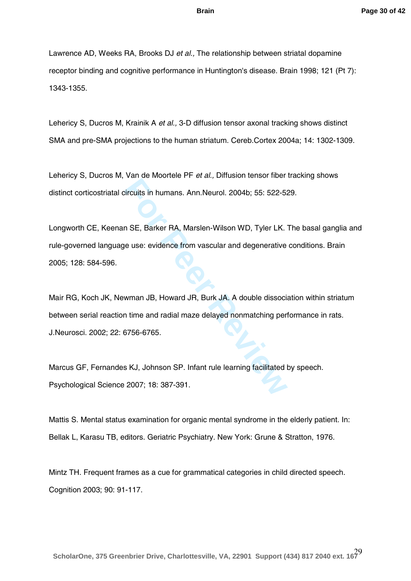Lawrence AD, Weeks RA, Brooks DJ *et al.,* The relationship between striatal dopamine receptor binding and cognitive performance in Huntington's disease. Brain 1998; 121 (Pt 7): 1343 -1355.

Lehericy S, Ducros M, Krainik A *et al.,* 3-D diffusion tensor axonal tracking shows distinct SMA and pre-SMA projections to the human striatum. Cereb.Cortex 2004a; 14: 1302-1309.

Lehericy S, Ducros M, Van de Moortele PF *et al.,* Diffusion tensor fiber tracking shows distinct corticostriatal circuits in humans. Ann.Neurol. 2004b; 55: 522 -529.

Longworth CE, Keenan SE, Barker RA, Marslen-Wilson WD, Tyler LK. The basal ganglia and rule -governed language use: evidence from vascular and degenerative conditions. Brain 2005; 128: 584 -596.

Factures House, Feran, 2004b; 55: 522-52<br>
Fircuits in humans. Ann.Neurol. 2004b; 55: 522-52<br> **For Peer Reviews** A, Marslen-Wilson WD, Tyler LK.<br> **For Peer Example 2014**<br> **For Peer Reviews A**, Marslen-Wilson WD, Tyler LK.<br> Mair RG, Koch JK, Newman JB, Howard JR, Burk JA. A double dissociation within striatum between serial reaction time and radial maze delayed nonmatching performance in rats. J.Neurosci. 2002; 22: 6756 -6765.

Marcus GF, Fernandes KJ, Johnson SP. Infant rule learning facilitated by speech. Psychological Science 2007; 18: 387 -391.

Mattis S. Mental status examination for organic mental syndrome in the elderly patient. In: Bellak L, Karasu TB, editors. Geriatric Psychiatry. New York: Grune & Stratton, 1976.

Mintz TH. Frequent frames as a cue for grammatical categories in child directed speech. Cognition 2003; 90: 91 -117.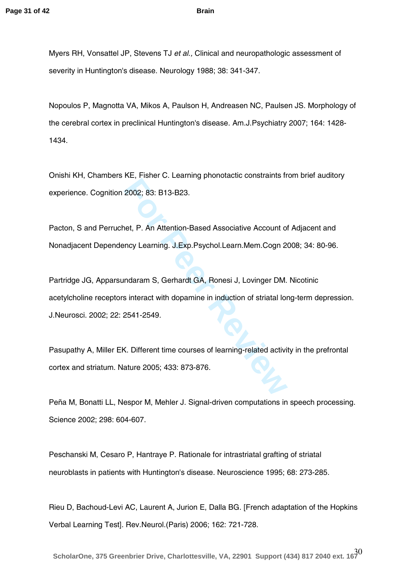Myers RH, Vonsattel JP, Stevens TJ *et al.,* Clinical and neuropathologic assessment of severity in Huntington's disease. Neurology 1988; 38: 341 -347.

Nopoulos P, Magnotta VA, Mikos A, Paulson H, Andreasen NC, Paulsen JS. Morphology of the cerebral cortex in preclinical Huntington's disease. Am.J.Psychiatry 2007; 164: 1428 - 1434.

Onishi KH, Chambers KE, Fisher C. Learning phonotactic constraints from brief auditory experience. Cognition 2002; 83: B13 -B23.

Pacton, S and Perruchet, P. An Attention -Based Associative Account of Adjacent and Nonadjacent Dependency Learning. J.Exp.Psychol.Learn.Mem.Cogn 2008; 34: 80 -96.

**For Persons Constrainers** Constraints in 2002; 83: B13-B23.<br> **For Peer Reviews Associative Account of** the Peer Reviews Associative Account of the Peer Reviews Details and Review Department S, Gerhardt GA, Ronesi J, Lovin Partridge JG, Apparsundaram S, Gerhardt GA, Ronesi J, Lovinger DM. Nicotinic acetylcholine receptors interact with dopamine in induction of striatal long-term depression. J.Neurosci. 2002; 22: 2541 -2549.

Pasupathy A, Miller EK. Different time courses of learning -related activity in the prefrontal cortex and striatum. Nature 2005; 433: 873 -876.

Peña M, Bonatti LL, Nespor M, Mehler J. Signal -driven computations in speech processing. Science 2002; 298: 604 -607.

Peschanski M, Cesaro P, Hantraye P. Rationale for intrastriatal grafting of striatal neuroblasts in patients with Huntington's disease. Neuroscience 1995; 68: 273 -285 .

Rieu D, Bachoud -Levi AC, Laurent A, Jurion E, Dalla BG. [French adaptation of the Hopkins Verbal Learning Test]. Rev.Neurol.(Paris) 2006; 162: 721 -728.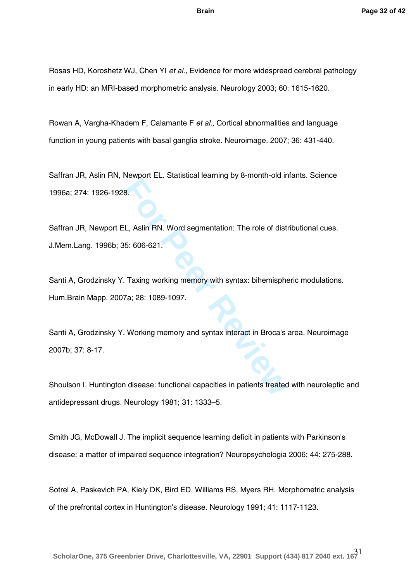Rosas HD, Koroshetz WJ, Chen YI *et al.,* Evidence for more widespread cerebral pathology in early HD: an MRI -based morphometric analysis. Neurology 2003; 60: 1615 -1620.

Rowan A, Vargha -Khadem F, Calamante F *et al.,* Cortical abnormalities and language function in young patients with basal ganglia stroke. Neuroimage. 2007; 36: 431 -440.

Saffran JR, Aslin RN, Newport EL. Statistical learning by 8 -month -old infants. Science 1996a; 274: 1926 -1928.

Saffran JR, Newport EL, Aslin RN. Word segmentation: The role of distributional cues. J.Mem.Lang. 1996b; 35: 606 -621.

Santi A, Grodzinsky Y. Taxing working memory with syntax: bihemispheric modulations. Hum.Brain Mapp. 2007a; 28: 1089 -1097.

**For Periodical Bandwing by Contain that Review Periodic Bandwin Case 8.**<br>**For Peer Reviews 19.**<br>**For Peer Reviews 1089-1097.**<br>**Fa**: 28: 1089-1097.<br>**Working memory and syntax interact in Broca's**<br>**Pa: 28: 1089-1097.**<br>**Pa:** Santi A, Grodzinsky Y. Working memory and syntax interact in Broca's area. Neuroimage 2007b; 37: 8 -17.

Shoulson I. Huntington disease: functional capacities in patients treated with neuroleptic and antidepressant drugs. Neurology 1981; 31: 1333 –5.

Smith JG, McDowall J. The implicit sequence learning deficit in patients with Parkinson's disease: a matter of impaired sequence integration? Neuropsychologia 2006; 44: 275 -288.

Sotrel A, Paskevich PA, Kiely DK, Bird ED, Williams RS, Myers RH. Morphometric analysis of the prefrontal cortex in Huntington's disease. Neurology 1991; 41: 1117 -1123.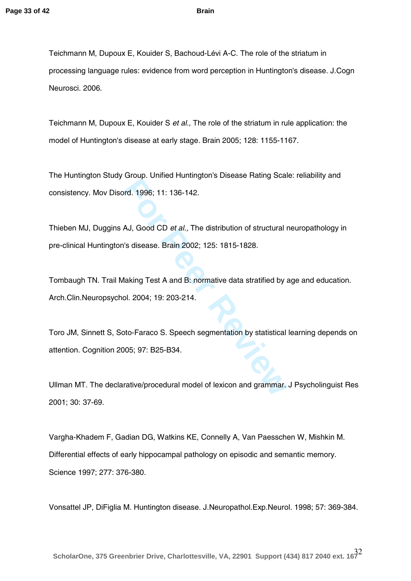Teichmann M, Dupoux E, Kouider S, Bachoud -Lévi A -C. The role of the striatum in processing language rules: evidence from word perception in Huntington's disease. J.Cogn Neurosci. 2006.

Teichmann M, Dupoux E, Kouider S *et al.,* The role of the striatum in rule application: the model of Huntington's disease at early stage. Brain 2005; 128: 1155-1167.

The Huntington Study Group. Unified Huntington's Disease Rating Scale: reliability and consistency. Mov Disord. 1996; 11: 136 -142.

Thieben MJ, Duggins AJ, Good CD *et al.,* The distribution of structural neuropathology in pre -clinical Huntington's disease. Brain 2002; 125: 1815 -1828.

Ensept States Hamington C Blocks Haming Scale<br> **For Peer Review And AJ**, Good CD *et al.*, The distribution of structural r<br>
's disease. Brain 2002; 125: 1815-1828.<br>
<br> **Example 125: 1815-1828.**<br>
<br> **Example 126: 19: 203-214** Tombaugh TN. Trail Making Test A and B: normative data stratified by age and education. Arch.Clin.Neuropsychol. 2004; 19: 203 -214.

Toro JM, Sinnett S, Soto -Faraco S. Speech segmentation by statistical learning depends on attention. Cognition 2005; 97: B25 -B34.

Ullman MT. The declarative/procedural model of lexicon and grammar. J Psycholinguist Res 2001; 30: 37 -69.

Vargha -Khadem F, Gadian DG, Watkins KE, Connelly A, Van Paesschen W, Mishkin M. Differential effects of early hippocampal pathology on episodic and semantic memory. Science 1997; 277: 376 -380.

Vonsattel JP, DiFiglia M. Huntington disease. J.Neuropathol.Exp.Neurol. 1998; 57: 369 -384.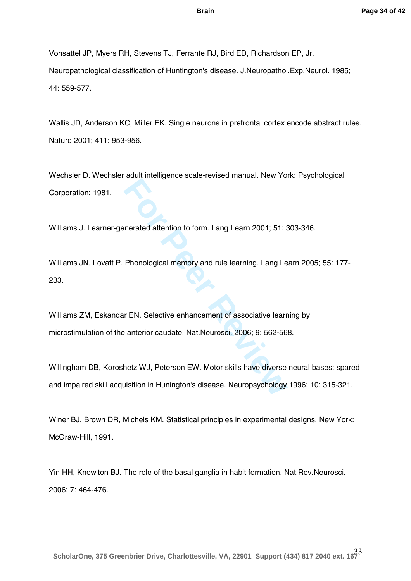Vonsattel JP, Myers RH, Stevens TJ, Ferrante RJ, Bird ED, Richardson EP, Jr. Neuropathological classification of Huntington's disease. J.Neuropathol.Exp.Neurol. 1985; 44: 559 -577.

Wallis JD, Anderson KC, Miller EK. Single neurons in prefrontal cortex encode abstract rules. Nature 2001; 411: 953 -956.

Wechsler D. Wechsler adult intelligence scale -revised manual. New York: Psychological Corporation; 1981.

Williams J. Learner -generated attention to form. Lang Learn 2001; 51: 303 -346.

Williams JN, Lovatt P. Phonological memory and rule learning. Lang Learn 2005; 55: 177 - 233.

**For Phonological memory and rule learning. Lang Learn 2001; 51: 3<br>
<b>Phonological memory and rule learning. Lang Learn 2001; 51: 3**<br> **For Phonological memory and rule learning. Lang Learn 2011**<br> **For Proper Reviewalt CONSC** Williams ZM, Eskandar EN. Selective enhancement of associative learning by microstimulation of the anterior caudate. Nat.Neurosci. 2006; 9: 562 -568.

Willingham DB, Koroshetz WJ, Peterson EW. Motor skills have diverse neural bases: spared and impaired skill acquisition in Hunington's disease. Neuropsychology 1996; 10: 315 -321.

Winer BJ, Brown DR, Michels KM. Statistical principles in experimental designs. New York: McGraw -Hill, 1991.

Yin HH, Knowlton BJ. The role of the basal ganglia in habit formation. Nat.Rev.Neurosci. 2006; 7: 464 -476.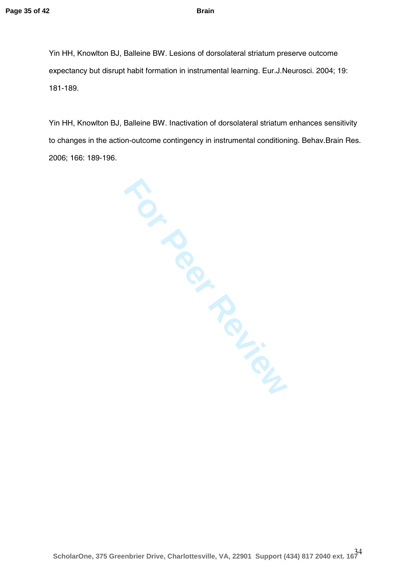Yin HH, Knowlton BJ, Balleine BW. Lesions of dorsolateral striatum preserve outcome expectancy but disrupt habit formation in instrumental learning. Eur.J.Neurosci. 2004; 19: 181 -189.

Yin HH, Knowlton BJ, Balleine BW. Inactivation of dorsolateral striatum enhances sensitivity to changes in the action-outcome contingency in instrumental conditioning. Behav.Brain Res. 2006; 166: 189 -196.

**For Peripanties**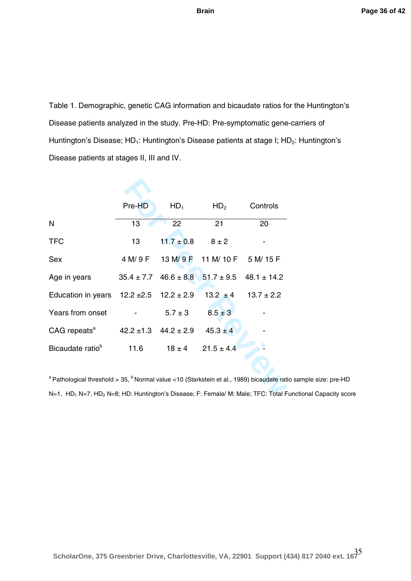Table 1. Demographic, genetic CAG information and bicaudate ratios for the Huntington's Disease patients analyzed in the study. Pre-HD: Pre-symptomatic gene-carriers of Huntington's Disease; HD<sub>1</sub>: Huntington's Disease patients at stage I; HD<sub>2</sub>: Huntington's Disease patients at stages II, III and IV.

|                                                                                                                  | Pre-HD           | $HD_1$                         | HD <sub>2</sub>                         | Controls                                                     |
|------------------------------------------------------------------------------------------------------------------|------------------|--------------------------------|-----------------------------------------|--------------------------------------------------------------|
| N                                                                                                                | 13               | 22                             | 21                                      | 20                                                           |
| <b>TFC</b>                                                                                                       | 13 <sup>13</sup> | $11.7 \pm 0.8$                 | $8 \pm 2$                               |                                                              |
| Sex                                                                                                              |                  |                                | 4 M/ 9 F 13 M/ 9 F 11 M/ 10 F 5 M/ 15 F |                                                              |
| Age in years                                                                                                     |                  |                                |                                         | $35.4 \pm 7.7$ $46.6 \pm 8.8$ $51.7 \pm 9.5$ $48.1 \pm 14.2$ |
| Education in years $12.2 \pm 2.5$ $12.2 \pm 2.9$                                                                 |                  |                                |                                         | $13.2 \pm 4$ $13.7 \pm 2.2$                                  |
| Years from onset                                                                                                 |                  | $5.7 \pm 3$                    | $8.5 \pm 3$                             |                                                              |
| CAG repeats <sup>a</sup> 42.2 ±1.3 44.2 ± 2.9 45.3 ± 4                                                           |                  |                                |                                         |                                                              |
| Bicaudate ratio <sup>b</sup>                                                                                     |                  | 11.6 $18 \pm 4$ 21.5 $\pm$ 4.4 |                                         |                                                              |
|                                                                                                                  |                  |                                |                                         |                                                              |
| <sup>a</sup> Pathological threshold > 35, <sup>b</sup> Normal value <10 (Starkstein et al., 1989) bicaudate rati |                  |                                |                                         |                                                              |
| N=1, HD <sub>1</sub> N=7, HD <sub>2</sub> N=8; HD: Huntington's Disease; F: Female/ M: Male; TFC: Total F        |                  |                                |                                         |                                                              |

<sup>a</sup> Pathological threshold > 35, <sup>b</sup> Normal value <10 (Starkstein et al., 1989) bicaudate ratio sample size: pre-HD N=1, HD<sub>1</sub> N=7, HD<sub>2</sub> N=8; HD: Huntington's Disease; F: Female/ M: Male; TFC: Total Functional Capacity score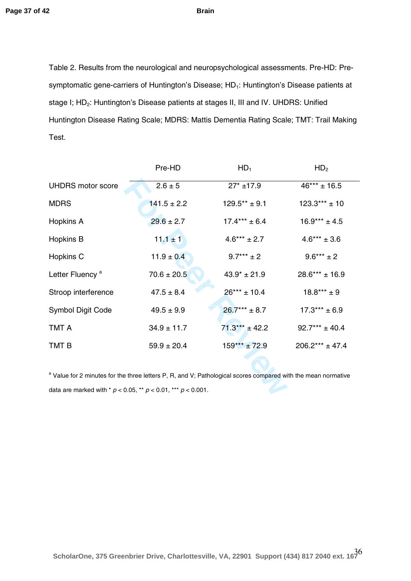Table 2. Results from the neurological and neuropsychological assessments. Pre-HD: Presymptomatic gene-carriers of Huntington's Disease; HD<sub>1</sub>: Huntington's Disease patients at stage I; HD 2: Huntington's Disease patients at stages II, III and IV. UHDRS: Unified Huntington Disease Rating Scale; MDRS: Mattis Dementia Rating Scale; TMT: Trail Making Test.

|                                                                                                                          | Pre-HD          | HD <sub>1</sub>   | HD <sub>2</sub>     |  |
|--------------------------------------------------------------------------------------------------------------------------|-----------------|-------------------|---------------------|--|
| <b>UHDRS</b> motor score                                                                                                 | $2.6 \pm 5$     | $27* + 17.9$      | $46*** \pm 16.5$    |  |
| <b>MDRS</b>                                                                                                              | $141.5 \pm 2.2$ | $129.5** \pm 9.1$ | $123.3***$ ± 10     |  |
| Hopkins A                                                                                                                | $29.6 \pm 2.7$  | $17.4***$ ± 6.4   | $16.9*** \pm 4.5$   |  |
| Hopkins B                                                                                                                | $11.1 \pm 1$    | $4.6*** \pm 2.7$  | $4.6*** \pm 3.6$    |  |
| Hopkins C                                                                                                                | $11.9 \pm 0.4$  | $9.7***$ ± 2      | $9.6***$ ± 2        |  |
| Letter Fluency <sup>a</sup>                                                                                              | $70.6 \pm 20.5$ | $43.9* \pm 21.9$  | $28.6***$ ± 16.9    |  |
| Stroop interference                                                                                                      | $47.5 \pm 8.4$  | $26***$ ± 10.4    | $18.8***$ ± 9       |  |
| <b>Symbol Digit Code</b>                                                                                                 | $49.5 \pm 9.9$  | $26.7***$ ± 8.7   | $17.3***$ ± 6.9     |  |
| TMT A                                                                                                                    | $34.9 \pm 11.7$ | $71.3***$ ± 42.2  | $92.7***$ ± 40.4    |  |
| TMT B                                                                                                                    | $59.9 \pm 20.4$ | $159***$ ± 72.9   | $206.2*** \pm 47.4$ |  |
|                                                                                                                          |                 |                   |                     |  |
| <sup>a</sup> Value for 2 minutes for the three letters P, R, and V; Pathological scores compared with the mean normative |                 |                   |                     |  |
| data are marked with * $p < 0.05$ , ** $p < 0.01$ , *** $p < 0.001$ .                                                    |                 |                   |                     |  |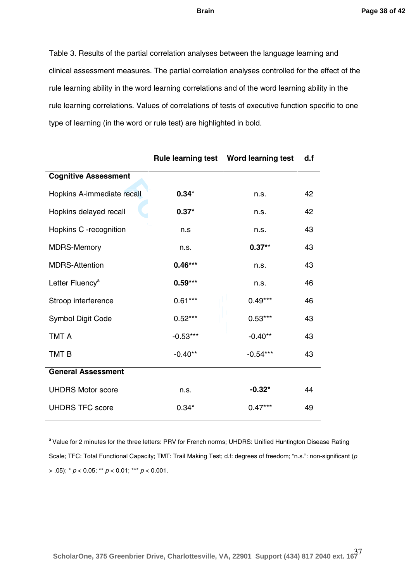#### **Page 38 of 42**

#### **Brain**

Table 3. Results of the partial correlation analyses between the language learning and clinical assessment measures. The partial correlation analyses controlled for the effect of the rule learning ability in the word learning correlations and o f the word learning ability in the rule learning correlations. Values of correlations of tests of executive function specific to one type of learning (in the word or rule test) are highlighted in bold.

|                             |            | Rule learning test  Word learning test | d.f |
|-----------------------------|------------|----------------------------------------|-----|
| <b>Cognitive Assessment</b> |            |                                        |     |
| Hopkins A-immediate recall  | $0.34*$    | n.s.                                   | 42  |
| Hopkins delayed recall      | $0.37*$    | n.s.                                   | 42  |
| Hopkins C -recognition      | n.s        | n.s.                                   | 43  |
| <b>MDRS-Memory</b>          | n.s.       | $0.37**$                               | 43  |
| <b>MDRS-Attention</b>       | $0.46***$  | n.s.                                   | 43  |
| Letter Fluency <sup>a</sup> | $0.59***$  | n.s.                                   | 46  |
| Stroop interference         | $0.61***$  | $0.49***$                              | 46  |
| <b>Symbol Digit Code</b>    | $0.52***$  | $0.53***$                              | 43  |
| <b>TMT A</b>                | $-0.53***$ | $-0.40**$                              | 43  |
| TMT <sub>B</sub>            | $-0.40**$  | $-0.54***$                             | 43  |
| <b>General Assessment</b>   |            |                                        |     |
| <b>UHDRS Motor score</b>    | n.s.       | $-0.32*$                               | 44  |
| <b>UHDRS TFC score</b>      | $0.34*$    | $0.47***$                              | 49  |

<sup>a</sup> Value for 2 minutes for the three letters: PRV for French norms; UHDRS: Unified Huntington Disease Rating Scale; TFC: Total Functional Capacity; TMT: Trail Making Test; d.f: degrees of freedom; "n.s.": non -significant ( *p* > .05); \* *p* < 0.05; \*\* *p* < 0.01; \*\*\* *p* < 0.001.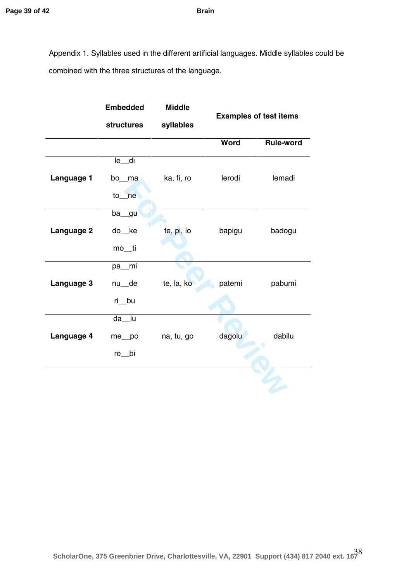Appendix 1. Syllables used in the different artificial languages. Middle syllables could be combined with the three structures of the language.

|            | <b>Embedded</b>   | <b>Middle</b> |                               |                  |
|------------|-------------------|---------------|-------------------------------|------------------|
|            | <b>structures</b> | syllables     | <b>Examples of test items</b> |                  |
|            |                   |               | Word                          | <b>Rule-word</b> |
|            | le_di             |               |                               |                  |
| Language 1 | bo_ma             | ka, fi, ro    | lerodi                        | lemadi           |
|            | $to$ ne           |               |                               |                  |
|            | ba_gu             |               |                               |                  |
| Language 2 | do_ke             | fe, pi, lo    | bapigu                        | badogu           |
|            | mo_ti             |               |                               |                  |
|            | pa_mi             |               |                               |                  |
| Language 3 | nu_de             | te, la, ko    | patemi                        | pabumi           |
|            | ri_bu             |               |                               |                  |
|            | da_lu             |               |                               |                  |
| Language 4 | me_po             | na, tu, go    | dagolu                        | dabilu           |
|            | re __ bi          |               |                               |                  |
|            |                   |               |                               |                  |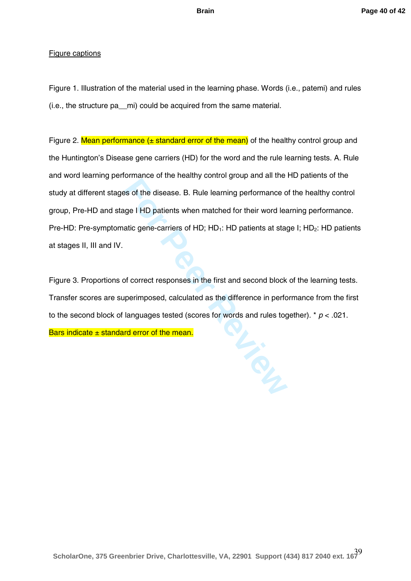#### Figure captions

Figure 1. Illustration of the material used in the learning phase. Words (i.e., patemi) and rules (i.e., the structure pa\_\_mi) could be acquired from the same material.

**Example 8 For Pecantally Sensual group and all the set of the disease. B. Rule learning performance of group is and the state and the patients when matched for their word leaditic gene-carriers of HD; HD<sub>1</sub>: HD patients a** Figure 2. Mean performance  $(\pm$  standard error of the mean) of the healthy control group and the Huntington's Disease gene carriers (HD) for the word and the rule learning tests. A. Rule and word learning performance of the healthy control group and all the HD patients of the study at different stages of the disease. B. Rule learning performance of the healthy control group, Pre -HD and stage I HD patients when matched for their word learning performance. Pre-HD: Pre-symptomatic gene-carriers of HD; HD<sub>1</sub>: HD patients at stage I; HD<sub>2</sub>: HD patients at stages II, III and IV.

Figure 3. Proportions of correct responses in the first and second block of the learning tests. Transfer scores are superimposed, calculated as the difference in performance from the first to the second block of languages tested (scores for words and rules together). \* *p* < .021. Bars indicate  $\pm$  standard error of the mean.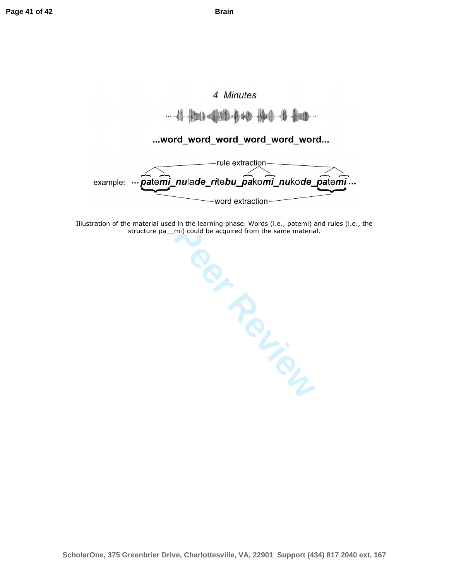# 4 Minutes **- all line**

## ...word\_word\_word\_word\_word\_word...



Illustration of the material used in the learning phase. Words (i.e., patemi) and rules (i.e., the structure pa\_\_mi) could be acquired from the same material.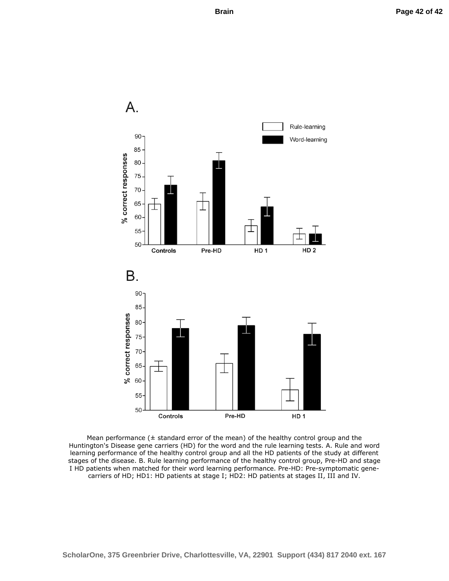

Mean performance  $($  ± standard error of the mean) of the healthy control group and the Huntington's Disease gene carriers (HD) for the word and the rule learning tests. A. Rule and word learning performance of the healthy control group and all the HD patients of the study at different stages of the disease. B. Rule learning performance of the healthy control group, Pre-HD and stage I HD patients when matched for their word learning performance. Pre-HD: Pre-symptomatic genecarriers of HD; HD1: HD patients at stage I; HD2: HD patients at stages II, III and IV.

**ScholarOne, 375 Greenbrier Drive, Charlottesville, VA, 22901 Support (434) 817 2040 ext. 167**